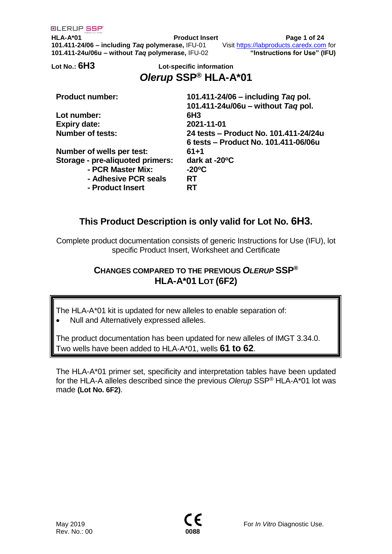**HLA-A\*01 Product Insert Page 1 of 24 101.411-24/06 – including** *Taq* **polymerase,** IFU-01 Visit [https://labproducts.caredx.com](https://labproducts.caredx.com/) for **101.411-24u/06u – without** *Taq* **polymerase,** IFU-02 **"Instructions for Use" (IFU)**

## **Lot No.: 6H3 Lot-specific information** *Olerup* **SSP® HLA-A\*01**

| <b>Product number:</b>           | 101.411-24/06 – including Tag pol.    |
|----------------------------------|---------------------------------------|
|                                  | 101.411-24u/06u - without Tag pol.    |
| Lot number:                      | 6H <sub>3</sub>                       |
| <b>Expiry date:</b>              | 2021-11-01                            |
| <b>Number of tests:</b>          | 24 tests – Product No. 101.411-24/24u |
|                                  | 6 tests - Product No. 101.411-06/06u  |
| Number of wells per test:        | $61 + 1$                              |
| Storage - pre-aliquoted primers: | dark at -20 $\mathrm{^{\circ}C}$      |
| - PCR Master Mix:                | $-20^{\circ}$ C                       |
| - Adhesive PCR seals             | <b>RT</b>                             |
| - Product Insert                 | <b>RT</b>                             |

# **This Product Description is only valid for Lot No. 6H3.**

Complete product documentation consists of generic Instructions for Use (IFU), lot specific Product Insert, Worksheet and Certificate

## **CHANGES COMPARED TO THE PREVIOUS** *OLERUP* **SSP® HLA-A\*01 LOT (6F2)**

The HLA-A\*01 kit is updated for new alleles to enable separation of:

• Null and Alternatively expressed alleles.

The product documentation has been updated for new alleles of IMGT 3.34.0. Two wells have been added to HLA-A\*01, wells **61 to 62**.

The HLA-A\*01 primer set, specificity and interpretation tables have been updated for the HLA-A alleles described since the previous *Olerup* SSP® HLA-A\*01 lot was made **(Lot No. 6F2)**.

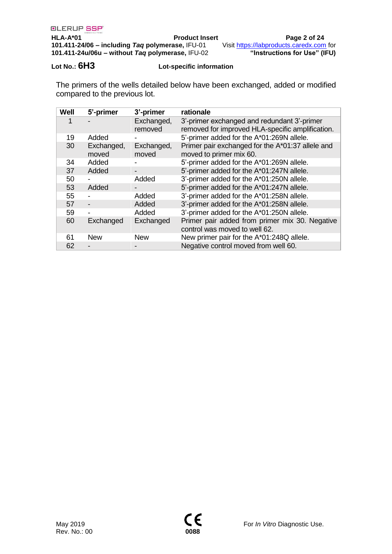### **Lot No.: 6H3 Lot-specific information**

The primers of the wells detailed below have been exchanged, added or modified compared to the previous lot.

| Well | 5'-primer           | 3'-primer             | rationale                                                                                       |
|------|---------------------|-----------------------|-------------------------------------------------------------------------------------------------|
|      |                     | Exchanged,<br>removed | 3'-primer exchanged and redundant 3'-primer<br>removed for improved HLA-specific amplification. |
| 19   | Added               |                       | 5'-primer added for the A*01:269N allele.                                                       |
| 30   | Exchanged,<br>moved | Exchanged,<br>moved   | Primer pair exchanged for the A*01:37 allele and<br>moved to primer mix 60.                     |
| 34   | Added               |                       | 5'-primer added for the A*01:269N allele.                                                       |
| 37   | Added               |                       | 5'-primer added for the A*01:247N allele.                                                       |
| 50   |                     | Added                 | 3'-primer added for the A*01:250N allele.                                                       |
| 53   | Added               |                       | 5'-primer added for the A*01:247N allele.                                                       |
| 55   |                     | Added                 | 3'-primer added for the A*01:258N allele.                                                       |
| 57   | -                   | Added                 | 3'-primer added for the A*01:258N allele.                                                       |
| 59   |                     | Added                 | 3'-primer added for the A*01:250N allele.                                                       |
| 60   | Exchanged           | Exchanged             | Primer pair added from primer mix 30. Negative<br>control was moved to well 62.                 |
| 61   | <b>New</b>          | <b>New</b>            | New primer pair for the A*01:248Q allele.                                                       |
| 62   |                     |                       | Negative control moved from well 60.                                                            |

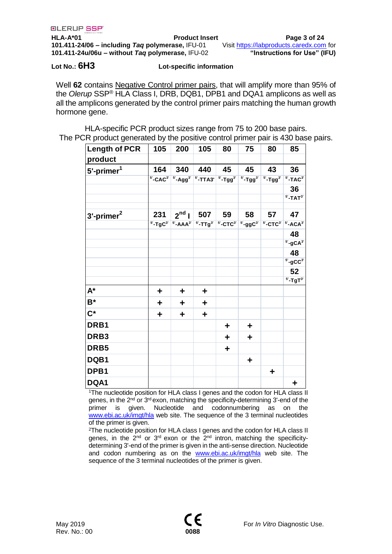**HLA-A\*01 Product Insert Page 3 of 24 101.411-24/06 – including** *Taq* **polymerase,** IFU-01 Visit [https://labproducts.caredx.com](https://labproducts.caredx.com/) for **101.411-24u/06u – without** *Taq* **polymerase,** IFU-02 **"Instructions for Use" (IFU)**

**Lot No.: 6H3 Lot-specific information**

Well **62** contains Negative Control primer pairs, that will amplify more than 95% of the *Olerup* SSP® HLA Class I, DRB, DQB1, DPB1 and DQA1 amplicons as well as all the amplicons generated by the control primer pairs matching the human growth hormone gene.

HLA-specific PCR product sizes range from 75 to 200 base pairs. The PCR product generated by the positive control primer pair is 430 base pairs.

| <b>Length of PCR</b>   | 105 | 200                                                                                                                                                        | 105 | 80 | 75 | 80                     | 85                                                |
|------------------------|-----|------------------------------------------------------------------------------------------------------------------------------------------------------------|-----|----|----|------------------------|---------------------------------------------------|
| product                |     |                                                                                                                                                            |     |    |    |                        |                                                   |
| 5'-primer <sup>1</sup> | 164 | 340                                                                                                                                                        | 440 | 45 | 45 | 43                     | 36                                                |
|                        |     | $5^\circ$ -CAC $3^\circ$ $\mid$ $5^\circ$ -Agg $^3^\circ$ $\mid$ $5^\circ$ -TTA3' $\mid$ $5^\circ$ -Tgg $^3^\circ$ $\mid$ $5^\circ$ -Tgg $^3^\circ$ $\mid$ |     |    |    | $5$ -Tgg <sup>3'</sup> | $5'$ -TAC $3'$                                    |
|                        |     |                                                                                                                                                            |     |    |    |                        | 36                                                |
|                        |     |                                                                                                                                                            |     |    |    |                        | $5'$ -TAT $3'$                                    |
| $3'$ -primer $^2$      | 231 | $\sqrt{2^{nd}}$                                                                                                                                            | 507 | 59 | 58 | 57                     | 47                                                |
|                        |     | $5$ -TgC <sup>3'</sup> $5$ <sup>-</sup> -AAA <sup>3'</sup> $5$ <sup>-</sup> -TTg <sup>3'</sup> $5$ -CTC <sup>3'</sup> $5$ -ggC <sup>3'</sup>               |     |    |    |                        | $5^\circ$ -CTC $3^\circ$ $5^\circ$ -ACA $3^\circ$ |
|                        |     |                                                                                                                                                            |     |    |    |                        | 48                                                |
|                        |     |                                                                                                                                                            |     |    |    |                        | $5 - gCA3$                                        |
|                        |     |                                                                                                                                                            |     |    |    |                        | 48                                                |
|                        |     |                                                                                                                                                            |     |    |    |                        | $5 - 9$ CC $3$                                    |
|                        |     |                                                                                                                                                            |     |    |    |                        | 52                                                |
|                        |     |                                                                                                                                                            |     |    |    |                        | $5$ '-TgT $3$ '                                   |
| $A^*$                  | ٠   | ٠                                                                                                                                                          | ٠   |    |    |                        |                                                   |
| $B^*$                  | ٠   | ٠                                                                                                                                                          | ٠   |    |    |                        |                                                   |
| $\mathsf{C}^\star$     | ٠   | ٠                                                                                                                                                          | ٠   |    |    |                        |                                                   |
| DRB1                   |     |                                                                                                                                                            |     | ٠  | ٠  |                        |                                                   |
| DRB <sub>3</sub>       |     |                                                                                                                                                            |     | ٠  | ٠  |                        |                                                   |
| DRB5                   |     |                                                                                                                                                            |     | ٠  |    |                        |                                                   |
| DQB1                   |     |                                                                                                                                                            |     |    | ٠  |                        |                                                   |
| DPB1                   |     |                                                                                                                                                            |     |    |    | ٠                      |                                                   |
| DQA1                   |     |                                                                                                                                                            |     |    |    |                        | ٠                                                 |

<sup>1</sup>The nucleotide position for HLA class I genes and the codon for HLA class II genes, in the 2<sup>nd</sup> or 3<sup>rd</sup> exon, matching the specificity-determining 3'-end of the primer is given. Nucleotide and codonnumbering as on the [www.ebi.ac.uk/imgt/hla](http://www.ebi.ac.uk/imgt/hla) web site. The sequence of the 3 terminal nucleotides of the primer is given.

<sup>2</sup>The nucleotide position for HLA class I genes and the codon for HLA class II genes, in the  $2<sup>nd</sup>$  or  $3<sup>rd</sup>$  exon or the  $2<sup>nd</sup>$  intron, matching the specificitydetermining 3'-end of the primer is given in the anti-sense direction. Nucleotide and codon numbering as on the [www.ebi.ac.uk/imgt/hla](http://www.ebi.ac.uk/imgt/hla) web site. The sequence of the 3 terminal nucleotides of the primer is given.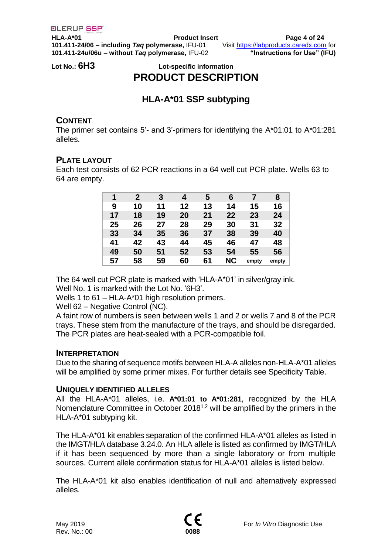**HLA-A\*01 Product Insert Page 4 of 24 101.411-24/06 – including** *Taq* **polymerase,** IFU-01 Visit [https://labproducts.caredx.com](https://labproducts.caredx.com/) for **101.411-24u/06u – without** *Taq* **polymerase,** IFU-02 **"Instructions for Use" (IFU)**

## **Lot No.: 6H3 Lot-specific information PRODUCT DESCRIPTION**

# **HLA-A\*01 SSP subtyping**

## **CONTENT**

The primer set contains 5'- and 3'-primers for identifying the A\*01:01 to A\*01:281 alleles.

## **PLATE LAYOUT**

Each test consists of 62 PCR reactions in a 64 well cut PCR plate. Wells 63 to 64 are empty.

| 1  | $\mathbf{2}$ | 3  | 4  | 5  | 6         |       | 8     |
|----|--------------|----|----|----|-----------|-------|-------|
| 9  | 10           | 11 | 12 | 13 | 14        | 15    | 16    |
| 17 | 18           | 19 | 20 | 21 | 22        | 23    | 24    |
| 25 | 26           | 27 | 28 | 29 | 30        | 31    | 32    |
| 33 | 34           | 35 | 36 | 37 | 38        | 39    | 40    |
| 41 | 42           | 43 | 44 | 45 | 46        | 47    | 48    |
| 49 | 50           | 51 | 52 | 53 | 54        | 55    | 56    |
| 57 | 58           | 59 | 60 | 61 | <b>NC</b> | empty | empty |

The 64 well cut PCR plate is marked with 'HLA-A\*01' in silver/gray ink.

Well No. 1 is marked with the Lot No. '6H3'.

Wells 1 to 61 – HLA-A\*01 high resolution primers.

Well 62 – Negative Control (NC).

A faint row of numbers is seen between wells 1 and 2 or wells 7 and 8 of the PCR trays. These stem from the manufacture of the trays, and should be disregarded. The PCR plates are heat-sealed with a PCR-compatible foil.

## **INTERPRETATION**

Due to the sharing of sequence motifs between HLA-A alleles non-HLA-A\*01 alleles will be amplified by some primer mixes. For further details see Specificity Table.

## **UNIQUELY IDENTIFIED ALLELES**

All the HLA-A\*01 alleles, i.e. **A\*01:01 to A\*01:281**, recognized by the HLA Nomenclature Committee in October 2018<sup>1,2</sup> will be amplified by the primers in the HLA-A\*01 subtyping kit.

The HLA-A\*01 kit enables separation of the confirmed HLA-A\*01 alleles as listed in the IMGT/HLA database 3.24.0. An HLA allele is listed as confirmed by IMGT/HLA if it has been sequenced by more than a single laboratory or from multiple sources. Current allele confirmation status for HLA-A\*01 alleles is listed below.

The HLA-A\*01 kit also enables identification of null and alternatively expressed alleles.

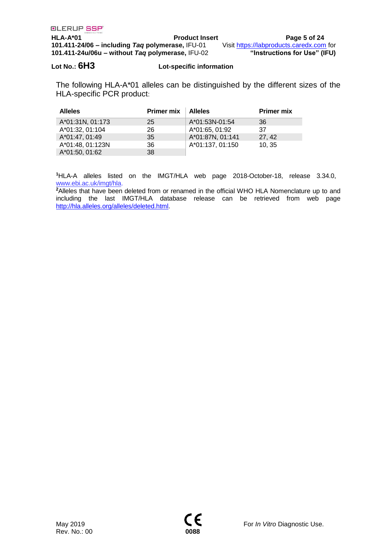**HLA-A\*01 Product Insert Page 5 of 24 101.411-24/06 – including** *Taq* **polymerase,** IFU-01 Visit [https://labproducts.caredx.com](https://labproducts.caredx.com/) for **101.411-24u/06u – without** *Taq* **polymerase,** IFU-02 **"Instructions for Use" (IFU)**

### **Lot No.: 6H3 Lot-specific information**

The following HLA-A\*01 alleles can be distinguished by the different sizes of the HLA-specific PCR product:

| <b>Alleles</b>   | <b>Primer mix</b> | <b>Alleles</b>   | <b>Primer mix</b> |
|------------------|-------------------|------------------|-------------------|
| A*01:31N, 01:173 | 25                | A*01:53N-01:54   | -36               |
| A*01:32, 01:104  | 26                | A*01:65, 01:92   | -37               |
| A*01:47, 01:49   | 35                | A*01:87N, 01:141 | 27.42             |
| A*01:48, 01:123N | 36                | A*01:137, 01:150 | 10.35             |
| A*01:50, 01:62   | 38                |                  |                   |

**<sup>1</sup>**HLA-A alleles listed on the IMGT/HLA web page 2018-October-18, release 3.34.0, [www.ebi.ac.uk/imgt/hla.](http://www.ebi.ac.uk/imgt/hla)

<sup>2</sup>Alleles that have been deleted from or renamed in the official WHO HLA Nomenclature up to and including the last IMGT/HLA database release can be retrieved from web page [http://hla.alleles.org/alleles/deleted.html.](http://hla.alleles.org/alleles/deleted.html)

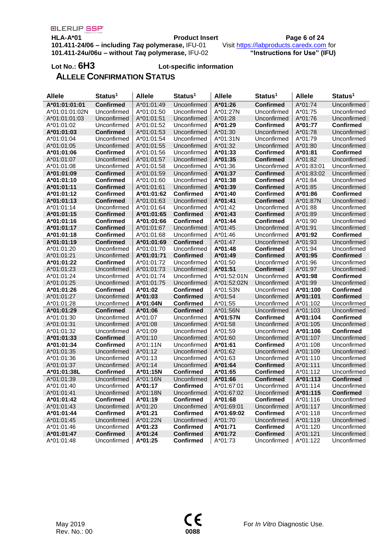**HLA-A\*01 Product Insert Product Insert Page 6 of 24**<br>**101.411-24/06 – including Tag polymerase**, IFU-01 Visit **https://labproducts.caredx.com** for **101.411-24/06 – including** *Taq* **polymerase,** IFU-01 Visit [https://labproducts.caredx.com](https://labproducts.caredx.com/) for **101.411-24u/06u – without** *Taq* **polymerase,** IFU-02 **"Instructions for Use" (IFU)**

# **Lot No.: 6H3 Lot-specific information**

# **ALLELE CONFIRMATION STATUS**

| <b>Allele</b>  | Status <sup>1</sup> | <b>Allele</b> | Status <sup>1</sup> | <b>Allele</b> | Status <sup>1</sup> | <b>Allele</b> | Status <sup>1</sup> |
|----------------|---------------------|---------------|---------------------|---------------|---------------------|---------------|---------------------|
| A*01:01:01:01  | <b>Confirmed</b>    | A*01:01:49    | Unconfirmed         | A*01:26       | <b>Confirmed</b>    | A*01:74       | Unconfirmed         |
| A*01:01:01:02N | Unconfirmed         | A*01:01:50    | Unconfirmed         | A*01:27N      | Unconfirmed         | A*01:75       | Unconfirmed         |
| A*01:01:01:03  | Unconfirmed         | A*01:01:51    | Unconfirmed         | A*01:28       | Unconfirmed         | A*01:76       | Unconfirmed         |
| A*01:01:02     | Unconfirmed         | A*01:01:52    | Unconfirmed         | A*01:29       | <b>Confirmed</b>    | A*01:77       | <b>Confirmed</b>    |
| A*01:01:03     | <b>Confirmed</b>    | A*01:01:53    | Unconfirmed         | $A*01:30$     | Unconfirmed         | A*01:78       | Unconfirmed         |
| A*01:01:04     | Unconfirmed         | A*01:01:54    | Unconfirmed         | A*01:31N      | Unconfirmed         | A*01:79       | Unconfirmed         |
| A*01:01:05     | Unconfirmed         | A*01:01:55    | Unconfirmed         | A*01:32       | Unconfirmed         | A*01:80       | Unconfirmed         |
| A*01:01:06     | <b>Confirmed</b>    | A*01:01:56    | Unconfirmed         | A*01:33       | <b>Confirmed</b>    | A*01:81       | <b>Confirmed</b>    |
| A*01:01:07     | Unconfirmed         | A*01:01:57    | Unconfirmed         | A*01:35       | <b>Confirmed</b>    | A*01:82       | Unconfirmed         |
| A*01:01:08     | Unconfirmed         | A*01:01:58    | Unconfirmed         | A*01:36       | Unconfirmed         | A*01:83:01    | Unconfirmed         |
| A*01:01:09     | <b>Confirmed</b>    | A*01:01:59    | Unconfirmed         | A*01:37       | <b>Confirmed</b>    | A*01:83:02    | Unconfirmed         |
| A*01:01:10     | <b>Confirmed</b>    | A*01:01:60    | Unconfirmed         | A*01:38       | <b>Confirmed</b>    | A*01:84       | Unconfirmed         |
| A*01:01:11     | <b>Confirmed</b>    | A*01:01:61    | Unconfirmed         | A*01:39       | <b>Confirmed</b>    | A*01:85       | Unconfirmed         |
| A*01:01:12     | <b>Confirmed</b>    | A*01:01:62    | <b>Confirmed</b>    | A*01:40       | <b>Confirmed</b>    | A*01:86       | <b>Confirmed</b>    |
| A*01:01:13     | <b>Confirmed</b>    | A*01:01:63    | Unconfirmed         | A*01:41       | <b>Confirmed</b>    | A*01:87N      | Unconfirmed         |
| A*01:01:14     | Unconfirmed         | A*01:01:64    | Unconfirmed         | $A*01:42$     | Unconfirmed         | A*01:88       | Unconfirmed         |
| A*01:01:15     | <b>Confirmed</b>    | A*01:01:65    | <b>Confirmed</b>    | $A*01:43$     | <b>Confirmed</b>    | A*01:89       | Unconfirmed         |
| A*01:01:16     | <b>Confirmed</b>    | A*01:01:66    | Confirmed           | A*01:44       | <b>Confirmed</b>    | A*01:90       | Unconfirmed         |
| A*01:01:17     | <b>Confirmed</b>    | A*01:01:67    | Unconfirmed         | A*01:45       | Unconfirmed         | A*01:91       | Unconfirmed         |
| A*01:01:18     | <b>Confirmed</b>    | A*01:01:68    | Unconfirmed         | $A*01:46$     | Unconfirmed         | A*01:92       | <b>Confirmed</b>    |
| A*01:01:19     | <b>Confirmed</b>    | A*01:01:69    | <b>Confirmed</b>    | A*01:47       | Unconfirmed         | A*01:93       | Unconfirmed         |
| A*01:01:20     | Unconfirmed         | A*01:01:70    | Unconfirmed         | A*01:48       | <b>Confirmed</b>    | A*01:94       | Unconfirmed         |
| A*01:01:21     | Unconfirmed         | A*01:01:71    | <b>Confirmed</b>    | A*01:49       | <b>Confirmed</b>    | A*01:95       | <b>Confirmed</b>    |
| A*01:01:22     | <b>Confirmed</b>    | A*01:01:72    | Unconfirmed         | $A*01:50$     | Unconfirmed         | A*01:96       | Unconfirmed         |
| A*01:01:23     | Unconfirmed         | A*01:01:73    | Unconfirmed         | A*01:51       | <b>Confirmed</b>    | A*01:97       | Unconfirmed         |
| A*01:01:24     | Unconfirmed         | A*01:01:74    | Unconfirmed         | A*01:52:01N   | Unconfirmed         | A*01:98       | <b>Confirmed</b>    |
| A*01:01:25     | Unconfirmed         | A*01:01:75    | Unconfirmed         | A*01:52:02N   | Unconfirmed         | A*01:99       | Unconfirmed         |
| A*01:01:26     | <b>Confirmed</b>    | A*01:02       | Confirmed           | A*01:53N      | Unconfirmed         | A*01:100      | <b>Confirmed</b>    |
| A*01:01:27     | Unconfirmed         | A*01:03       | <b>Confirmed</b>    | A*01:54       | Unconfirmed         | A*01:101      | <b>Confirmed</b>    |
| A*01:01:28     | Unconfirmed         | A*01:04N      | <b>Confirmed</b>    | A*01:55       | Unconfirmed         | A*01:102      | Unconfirmed         |
| A*01:01:29     | <b>Confirmed</b>    | A*01:06       | <b>Confirmed</b>    | A*01:56N      | Unconfirmed         | A*01:103      | Unconfirmed         |
| A*01:01:30     | Unconfirmed         | A*01:07       | Unconfirmed         | A*01:57N      | <b>Confirmed</b>    | A*01:104      | <b>Confirmed</b>    |
| A*01:01:31     | Unconfirmed         | $A*01:08$     | Unconfirmed         | $A*01:58$     | Unconfirmed         | A*01:105      | Unconfirmed         |
| A*01:01:32     | Unconfirmed         | A*01:09       | Unconfirmed         | A*01:59       | Unconfirmed         | A*01:106      | <b>Confirmed</b>    |
| A*01:01:33     | <b>Confirmed</b>    | $A*01:10$     | Unconfirmed         | $A*01:60$     | Unconfirmed         | A*01:107      | Unconfirmed         |
| A*01:01:34     | <b>Confirmed</b>    | $A*01:11N$    | Unconfirmed         | A*01:61       | <b>Confirmed</b>    | A*01:108      | Unconfirmed         |
| A*01:01:35     | Unconfirmed         | A*01:12       | Unconfirmed         | A*01:62       | Unconfirmed         | A*01:109      | Unconfirmed         |
| A*01:01:36     | Unconfirmed         | $A*01:13$     | Unconfirmed         | A*01:63       | Unconfirmed         | A*01:110      | Unconfirmed         |
| A*01:01:37     | Unconfirmed         | $A*01:14$     | Unconfirmed         | A*01:64       | <b>Confirmed</b>    | A*01:111      | Unconfirmed         |
| A*01:01:38L    | <b>Confirmed</b>    | A*01:15N      | <b>Confirmed</b>    | A*01:65       | Confirmed           | A*01:112      | Unconfirmed         |
| A*01:01:39     | Unconfirmed         | A*01:16N      | Unconfirmed         | A*01:66       | <b>Confirmed</b>    | A*01:113      | <b>Confirmed</b>    |
| A*01:01:40     | Unconfirmed         | A*01:17       | <b>Confirmed</b>    | A*01:67:01    | Unconfirmed         | A*01:114      | Unconfirmed         |
| A*01:01:41     | Unconfirmed         | A*01:18N      | Unconfirmed         | A*01:67:02    | Unconfirmed         | A*01:115      | <b>Confirmed</b>    |
| A*01:01:42     | <b>Confirmed</b>    | A*01:19       | <b>Confirmed</b>    | A*01:68       | <b>Confirmed</b>    | A*01:116      | Unconfirmed         |
| A*01:01:43     | Unconfirmed         | A*01:20       | Unconfirmed         | A*01:69:01    | Unconfirmed         | A*01:117      | Unconfirmed         |
| A*01:01:44     | <b>Confirmed</b>    | A*01:21       | <b>Confirmed</b>    | A*01:69:02    | <b>Confirmed</b>    | A*01:118      | Unconfirmed         |
| A*01:01:45     | Unconfirmed         | A*01:22N      | Unconfirmed         | A*01:70       | Unconfirmed         | A*01:119      | Unconfirmed         |
| A*01:01:46     | Unconfirmed         | A*01:23       | <b>Confirmed</b>    | A*01:71       | <b>Confirmed</b>    | A*01:120      | Unconfirmed         |
| A*01:01:47     | <b>Confirmed</b>    | A*01:24       | <b>Confirmed</b>    | A*01:72       | <b>Confirmed</b>    | A*01:121      | Unconfirmed         |
| A*01:01:48     | Unconfirmed         | A*01:25       | <b>Confirmed</b>    | A*01:73       | Unconfirmed         | A*01:122      | Unconfirmed         |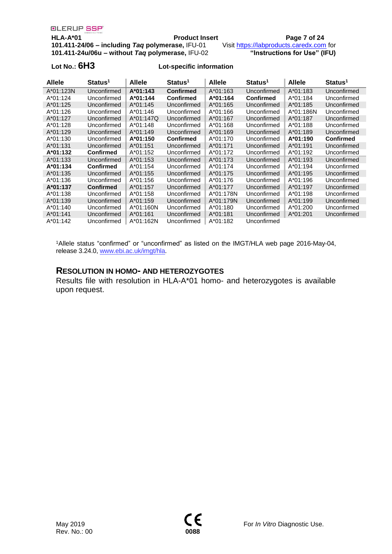**HLA-A\*01 Product Insert Page 7 of 24**

**101.411-24/06 – including** *Taq* **polymerase,** IFU-01 Visit [https://labproducts.caredx.com](https://labproducts.caredx.com/) for **101.411-24u/06u – without** *Taq* **polymerase,** IFU-02 **"Instructions for Use" (IFU)**

### **Lot No.: 6H3 Lot-specific information**

| <b>Allele</b> | Status <sup>1</sup> | <b>Allele</b> | Status <sup>1</sup> | <b>Allele</b> | Status <sup>1</sup> | <b>Allele</b> | Status <sup>1</sup> |
|---------------|---------------------|---------------|---------------------|---------------|---------------------|---------------|---------------------|
| A*01:123N     | Unconfirmed         | A*01:143      | <b>Confirmed</b>    | A*01:163      | Unconfirmed         | A*01:183      | Unconfirmed         |
| $A*01:124$    | Unconfirmed         | A*01:144      | <b>Confirmed</b>    | A*01:164      | <b>Confirmed</b>    | $A*01:184$    | Unconfirmed         |
| $A*01:125$    | Unconfirmed         | $A*01:145$    | Unconfirmed         | $A*01:165$    | Unconfirmed         | $A*01:185$    | Unconfirmed         |
| A*01:126      | Unconfirmed         | $A*01:146$    | Unconfirmed         | A*01:166      | Unconfirmed         | A*01:186N     | Unconfirmed         |
| A*01:127      | Unconfirmed         | A*01:147Q     | Unconfirmed         | A*01:167      | Unconfirmed         | A*01:187      | Unconfirmed         |
| A*01:128      | Unconfirmed         | A*01:148      | Unconfirmed         | A*01:168      | Unconfirmed         | A*01:188      | Unconfirmed         |
| $A*01:129$    | Unconfirmed         | A*01:149      | Unconfirmed         | A*01:169      | Unconfirmed         | A*01:189      | Unconfirmed         |
| A*01:130      | Unconfirmed         | A*01:150      | <b>Confirmed</b>    | A*01:170      | Unconfirmed         | A*01:190      | <b>Confirmed</b>    |
| $A*01:131$    | Unconfirmed         | $A*01:151$    | Unconfirmed         | $A*01:171$    | Unconfirmed         | A*01:191      | Unconfirmed         |
| A*01:132      | <b>Confirmed</b>    | A*01:152      | Unconfirmed         | A*01:172      | Unconfirmed         | A*01:192      | Unconfirmed         |
| $A*01:133$    | Unconfirmed         | $A*01:153$    | Unconfirmed         | $A*01:173$    | Unconfirmed         | A*01:193      | Unconfirmed         |
| A*01:134      | <b>Confirmed</b>    | $A*01:154$    | Unconfirmed         | A*01:174      | Unconfirmed         | $A*01:194$    | Unconfirmed         |
| $A*01:135$    | Unconfirmed         | $A*01:155$    | Unconfirmed         | $A*01:175$    | Unconfirmed         | $A*01:195$    | Unconfirmed         |
| $A*01:136$    | Unconfirmed         | $A*01:156$    | Unconfirmed         | A*01:176      | Unconfirmed         | A*01:196      | Unconfirmed         |
| A*01:137      | <b>Confirmed</b>    | A*01:157      | Unconfirmed         | A*01:177      | Unconfirmed         | A*01:197      | Unconfirmed         |
| $A*01:138$    | Unconfirmed         | $A*01:158$    | Unconfirmed         | A*01:178N     | Unconfirmed         | $A*01:198$    | Unconfirmed         |
| A*01:139      | Unconfirmed         | A*01:159      | Unconfirmed         | A*01:179N     | Unconfirmed         | A*01:199      | Unconfirmed         |
| A*01:140      | Unconfirmed         | $A*01:160N$   | Unconfirmed         | A*01:180      | Unconfirmed         | A*01:200      | Unconfirmed         |
| $A*01:141$    | Unconfirmed         | $A*01:161$    | Unconfirmed         | $A*01:181$    | Unconfirmed         | A*01:201      | Unconfirmed         |
| A*01:142      | Unconfirmed         | A*01:162N     | Unconfirmed         | A*01:182      | Unconfirmed         |               |                     |

<sup>1</sup>Allele status "confirmed" or "unconfirmed" as listed on the IMGT/HLA web page 2016-May-04, release 3.24.0[, www.ebi.ac.uk/imgt/hla.](http://www.ebi.ac.uk/imgt/hla)

### **RESOLUTION IN HOMO- AND HETEROZYGOTES**

Results file with resolution in HLA-A\*01 homo- and heterozygotes is available upon request.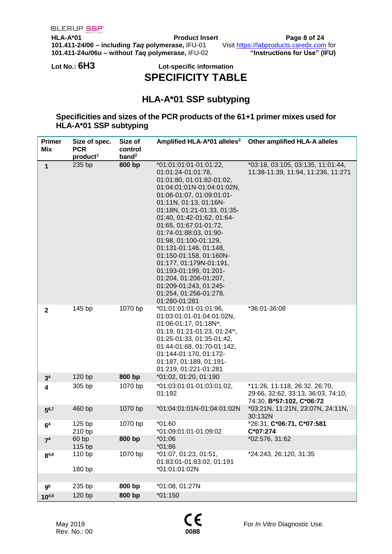**HLA-A\*01 Product Insert Page 8 of 24 101.411-24/06 – including** *Taq* **polymerase,** IFU-01 Visit [https://labproducts.caredx.com](https://labproducts.caredx.com/) for **101.411-24u/06u – without** *Taq* **polymerase,** IFU-02 **"Instructions for Use" (IFU)**

## **Lot No.: 6H3 Lot-specific information SPECIFICITY TABLE**

# **HLA-A\*01 SSP subtyping**

### **Specificities and sizes of the PCR products of the 61+1 primer mixes used for HLA-A\*01 SSP subtyping**

| <b>Primer</b><br>Mix    | Size of spec.<br><b>PCR</b><br>product <sup>1</sup> | Size of<br>control<br>band <sup>2</sup> | Amplified HLA-A*01 alleles <sup>3</sup>                                                                                                                                                                                                                                                                                                                                                                                                                                                                           | <b>Other amplified HLA-A alleles</b>                                                            |
|-------------------------|-----------------------------------------------------|-----------------------------------------|-------------------------------------------------------------------------------------------------------------------------------------------------------------------------------------------------------------------------------------------------------------------------------------------------------------------------------------------------------------------------------------------------------------------------------------------------------------------------------------------------------------------|-------------------------------------------------------------------------------------------------|
| 1                       | 235 bp                                              | 800 bp                                  | *01:01:01:01-01:01:22,<br>01:01:24-01:01:78,<br>01:01:80, 01:01:82-01:02,<br>01:04:01:01N-01:04:01:02N,<br>01:06-01:07, 01:09:01:01-<br>01:11N, 01:13, 01:16N-<br>01:18N, 01:21-01:33, 01:35-<br>01:40, 01:42-01:62, 01:64-<br>01:65, 01:67:01-01:72,<br>01:74-01:88:03, 01:90-<br>01:98, 01:100-01:129,<br>01:131-01:146, 01:148,<br>01:150-01:158, 01:160N-<br>01:177, 01:179N-01:191,<br>01:193-01:199, 01:201-<br>01:204, 01:206-01:207,<br>01:209-01:243, 01:245-<br>01:254, 01:256-01:278,<br>01:280-01:281 | *03:18, 03:105, 03:135, 11:01:44,<br>11:38-11:39, 11:94, 11:236, 11:271                         |
| $\mathbf{2}$            | 145 bp                                              | 1070 bp                                 | *01:01:01:01-01:01:96,<br>01:03:01:01-01:04:01:02N,<br>01:06-01:17, 01:18N <sup>w</sup> ,<br>01:19, 01:21-01:23, 01:24 <sup>w</sup> ,<br>01:25-01:33, 01:35-01:42,<br>01:44-01:68, 01:70-01:142,<br>01:144-01:170, 01:172-<br>01:187, 01:189, 01:191-<br>01:219, 01:221-01:281                                                                                                                                                                                                                                    | *36:01-36:08                                                                                    |
| 3 <sup>4</sup>          | 120 bp                                              | 800 bp                                  | *01:02, 01:20, 01:190                                                                                                                                                                                                                                                                                                                                                                                                                                                                                             |                                                                                                 |
| $\overline{\mathbf{4}}$ | 305 bp                                              | 1070 bp                                 | *01:03:01:01-01:03:01:02,<br>01:192                                                                                                                                                                                                                                                                                                                                                                                                                                                                               | *11:26, 11:118, 26:32, 26:70,<br>29:66, 32:62, 33:13, 36:03, 74:10,<br>74:30, B*57:102, C*06:72 |
| $5^{6,7}$               | 460 bp                                              | 1070 bp                                 | *01:04:01:01N-01:04:01:02N                                                                                                                                                                                                                                                                                                                                                                                                                                                                                        | *03:21N, 11:21N, 23:07N, 24:11N,<br>30:132N                                                     |
| 6 <sup>4</sup>          | 125 bp<br>210 bp                                    | 1070 bp                                 | $*01:60$<br>*01:09:01:01-01:09:02                                                                                                                                                                                                                                                                                                                                                                                                                                                                                 | *26:31, C*06:71, C*07:581<br>$C*07:274$                                                         |
| 7 <sup>4</sup>          | 60bp<br>115 bp                                      | 800 bp                                  | $*01:06$<br>$*01:86$                                                                                                                                                                                                                                                                                                                                                                                                                                                                                              | *02:576, 31:62                                                                                  |
| $8^{4,6}$               | 110 bp<br>180 bp                                    | 1070 bp                                 | *01:07, 01:23, 01:51,<br>01:83:01-01:83:02, 01:191<br>*01:01:01:02N                                                                                                                                                                                                                                                                                                                                                                                                                                               | *24:243, 26:120, 31:35                                                                          |
| 9 <sup>6</sup>          | 235 bp                                              | 800 bp                                  | *01:08, 01:27N                                                                                                                                                                                                                                                                                                                                                                                                                                                                                                    |                                                                                                 |
| $10^{4,5}$              | 120 bp                                              | 800 bp                                  | $*01:150$                                                                                                                                                                                                                                                                                                                                                                                                                                                                                                         |                                                                                                 |
|                         |                                                     |                                         |                                                                                                                                                                                                                                                                                                                                                                                                                                                                                                                   |                                                                                                 |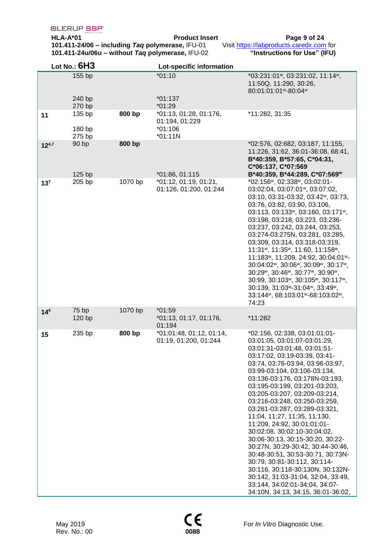**HLA-A\*01 Product Insert Page 9 of 24 101.411-24/06 – including** *Taq* **polymerase,** IFU-01 Visit [https://labproducts.caredx.com](https://labproducts.caredx.com/) for **101.411-24u/06u – without** *Taq* **polymerase,** IFU-02 **"Instructions for Use" (IFU)**

|                 | Lot No.: $6H3$    |         | Lot-specific information                          |                                                                                                                                                                                                                                                                                                                                                                                                                                                                                                                                                                                                                                                                                                                                                                         |
|-----------------|-------------------|---------|---------------------------------------------------|-------------------------------------------------------------------------------------------------------------------------------------------------------------------------------------------------------------------------------------------------------------------------------------------------------------------------------------------------------------------------------------------------------------------------------------------------------------------------------------------------------------------------------------------------------------------------------------------------------------------------------------------------------------------------------------------------------------------------------------------------------------------------|
|                 | 155 bp            |         | $*01:10$                                          | *03:231:01 ~, 03:231:02, 11:14 ~,<br>11:50Q, 11:290, 30:26,<br>80:01:01:01 ~~ 80:04 ~~                                                                                                                                                                                                                                                                                                                                                                                                                                                                                                                                                                                                                                                                                  |
|                 | 240 bp<br>270 bp  |         | $*01:137$<br>$*01:29$                             |                                                                                                                                                                                                                                                                                                                                                                                                                                                                                                                                                                                                                                                                                                                                                                         |
| 11              | 135 bp            | 800 bp  | *01:13, 01:28, 01:176,<br>01:194, 01:229          | *11:282, 31:35                                                                                                                                                                                                                                                                                                                                                                                                                                                                                                                                                                                                                                                                                                                                                          |
|                 | 180 bp<br>275 bp  |         | $*01:106$<br>$*01:11N$                            |                                                                                                                                                                                                                                                                                                                                                                                                                                                                                                                                                                                                                                                                                                                                                                         |
| $12^{4,7}$      | 90 bp<br>$125$ bp | 800 bp  | $*01:86, 01:115$                                  | *02:576, 02:682, 03:187, 11:155,<br>11:226, 31:62, 36:01-36:08, 68:41,<br>B*40:359, B*57:65, C*04:31,<br>C*06:137, C*07:569<br>B*40:359, B*44:289, C*07:569W                                                                                                                                                                                                                                                                                                                                                                                                                                                                                                                                                                                                            |
| 13 <sup>7</sup> | 205 bp            | 1070 bp | *01:12, 01:19, 01:21,<br>01:126, 01:200, 01:244   | *02:156", 02:338", 03:02:01-<br>03:02:04, 03:07:01 <sup>w</sup> , 03:07:02,<br>03:10, 03:31-03:32, 03:42 <sup>w</sup> , 03:73,<br>03:76, 03:82, 03:90, 03:106,<br>03:113, 03:133 <sup>w</sup> , 03:160, 03:171 <sup>w</sup> ,<br>03:198, 03:218, 03:223, 03:236-<br>03:237, 03:242, 03:244, 03:253,<br>03:274-03:275N, 03:281, 03:285,<br>03:309, 03:314, 03:318-03:319,<br>11:31w, 11:35w, 11:60, 11:158w,<br>11:183 <sup>w</sup> , 11:209, 24:92, 30:04:01 <sup>w</sup> -<br>30:04:02*, 30:06*, 30:09*, 30:17*,<br>30:29", 30:46", 30:77", 30:90",<br>30:99, 30:103 <sup>w</sup> , 30:105 <sup>w</sup> , 30:117 <sup>w</sup> ,<br>30:139, 31:03 ~- 31:04 ~, 33:49 ~,<br>33:144", 68:103:01"-68:103:02",<br>74:23                                                      |
| 14 <sup>4</sup> | 75 bp<br>120 bp   | 1070 bp | $*01:59$<br>*01:13, 01:17, 01:176,<br>01:194      | *11:282                                                                                                                                                                                                                                                                                                                                                                                                                                                                                                                                                                                                                                                                                                                                                                 |
| 15              | 235 bp            | 800 bp  | *01:01:48, 01:12, 01:14,<br>01:19, 01:200, 01:244 | *02:156, 02:338, 03:01:01:01-<br>03:01:05, 03:01:07-03:01:29,<br>03:01:31-03:01:48, 03:01:51-<br>03:17:02, 03:19-03:39, 03:41-<br>03:74, 03:76-03:94, 03:96-03:97,<br>03:99-03:104, 03:106-03:134,<br>03:136-03:176, 03:178N-03:193,<br>03:195-03:199, 03:201-03:203,<br>03:205-03:207, 03:209-03:214,<br>03:216-03:248, 03:250-03:259,<br>03:261-03:287, 03:289-03:321,<br>11:04, 11:27, 11:35, 11:130,<br>11:209, 24:92, 30:01:01:01-<br>30:02:08, 30:02:10-30:04:02,<br>30:06-30:13, 30:15-30:20, 30:22-<br>30:27N, 30:29-30:42, 30:44-30:46,<br>30:48-30:51, 30:53-30:71, 30:73N-<br>30:79, 30:81-30:112, 30:114-<br>30:116, 30:118-30:130N, 30:132N-<br>30:142, 31:03-31:04, 32:04, 33:49,<br>33:144, 34:02:01-34:04, 34:07-<br>34:10N, 34:13, 34:15, 36:01-36:02, |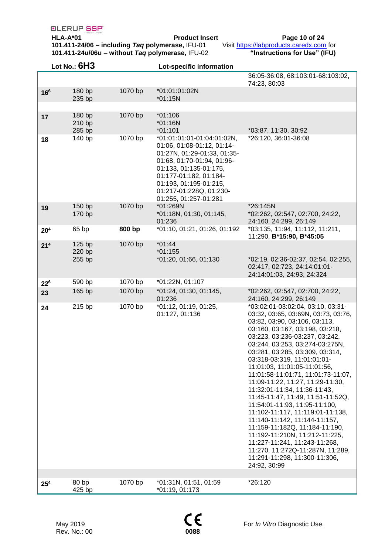**HLA-A\*01 Product Insert Page 10 of 24 101.411-24/06 – including** *Taq* **polymerase,** IFU-01 Visit [https://labproducts.caredx.com](https://labproducts.caredx.com/) for **101.411-24u/06u – without** *Taq* **polymerase,** IFU-02 **"Instructions for Use" (IFU)**

|                 | Lot No.: $6H3$             |         | Lot-specific information                                                                                                                                                                                                                                |                                                                                                                                                                                                                                                                                                                                                                                                                                                                                                                                                                                                                                                                                                                                                                    |
|-----------------|----------------------------|---------|---------------------------------------------------------------------------------------------------------------------------------------------------------------------------------------------------------------------------------------------------------|--------------------------------------------------------------------------------------------------------------------------------------------------------------------------------------------------------------------------------------------------------------------------------------------------------------------------------------------------------------------------------------------------------------------------------------------------------------------------------------------------------------------------------------------------------------------------------------------------------------------------------------------------------------------------------------------------------------------------------------------------------------------|
|                 |                            |         |                                                                                                                                                                                                                                                         | 36:05-36:08, 68:103:01-68:103:02,<br>74:23, 80:03                                                                                                                                                                                                                                                                                                                                                                                                                                                                                                                                                                                                                                                                                                                  |
| 166             | 180 bp<br>235 bp           | 1070 bp | *01:01:01:02N<br>$*01:15N$                                                                                                                                                                                                                              |                                                                                                                                                                                                                                                                                                                                                                                                                                                                                                                                                                                                                                                                                                                                                                    |
|                 |                            |         |                                                                                                                                                                                                                                                         |                                                                                                                                                                                                                                                                                                                                                                                                                                                                                                                                                                                                                                                                                                                                                                    |
| 17              | 180 bp<br>210 bp<br>285 bp | 1070 bp | $*01:106$<br>$*01:16N$<br>$*01:101$                                                                                                                                                                                                                     | *03:87, 11:30, 30:92                                                                                                                                                                                                                                                                                                                                                                                                                                                                                                                                                                                                                                                                                                                                               |
| 18              | 140 bp                     | 1070 bp | *01:01:01:01-01:04:01:02N,<br>01:06, 01:08-01:12, 01:14-<br>01:27N, 01:29-01:33, 01:35-<br>01:68, 01:70-01:94, 01:96-<br>01:133, 01:135-01:175,<br>01:177-01:182, 01:184-<br>01:193, 01:195-01:215,<br>01:217-01:228Q, 01:230-<br>01:255, 01:257-01:281 | *26:120, 36:01-36:08                                                                                                                                                                                                                                                                                                                                                                                                                                                                                                                                                                                                                                                                                                                                               |
| 19              | 150 bp<br>170 bp           | 1070 bp | *01:269N<br>*01:18N, 01:30, 01:145,<br>01:236                                                                                                                                                                                                           | *26:145N<br>*02:262, 02:547, 02:700, 24:22,<br>24:160, 24:299, 26:149                                                                                                                                                                                                                                                                                                                                                                                                                                                                                                                                                                                                                                                                                              |
| 20 <sup>4</sup> | 65 bp                      | 800 bp  | *01:10, 01:21, 01:26, 01:192                                                                                                                                                                                                                            | *03:135, 11:94, 11:112, 11:211,<br>11:290, B*15:90, B*45:05                                                                                                                                                                                                                                                                                                                                                                                                                                                                                                                                                                                                                                                                                                        |
| 21 <sup>4</sup> | 125 bp<br>220 bp<br>255 bp | 1070 bp | $*01:44$<br>$*01:155$<br>*01:20, 01:66, 01:130                                                                                                                                                                                                          | *02:19, 02:36-02:37, 02:54, 02:255,<br>02:417, 02:723, 24:14:01:01-<br>24:14:01:03, 24:93, 24:324                                                                                                                                                                                                                                                                                                                                                                                                                                                                                                                                                                                                                                                                  |
| 22 <sup>6</sup> | 590 bp                     | 1070 bp | *01:22N, 01:107                                                                                                                                                                                                                                         |                                                                                                                                                                                                                                                                                                                                                                                                                                                                                                                                                                                                                                                                                                                                                                    |
| 23              | 165 bp                     | 1070 bp | *01:24, 01:30, 01:145,<br>01:236                                                                                                                                                                                                                        | *02:262, 02:547, 02:700, 24:22,<br>24:160, 24:299, 26:149                                                                                                                                                                                                                                                                                                                                                                                                                                                                                                                                                                                                                                                                                                          |
| 24              | 215 bp                     | 1070 bp | *01:12, 01:19, 01:25,<br>01:127, 01:136                                                                                                                                                                                                                 | *03:02:01-03:02:04, 03:10, 03:31-<br>03:32, 03:65, 03:69N, 03:73, 03:76,<br>03:82, 03:90, 03:106, 03:113,<br>03:160, 03:167, 03:198, 03:218,<br>03:223, 03:236-03:237, 03:242,<br>03:244, 03:253, 03:274-03:275N,<br>03:281, 03:285, 03:309, 03:314,<br>03:318-03:319, 11:01:01:01-<br>11:01:03, 11:01:05-11:01:56,<br>11:01:58-11:01:71, 11:01:73-11:07,<br>11:09-11:22, 11:27, 11:29-11:30,<br>11:32:01-11:34, 11:36-11:43,<br>11:45-11:47, 11:49, 11:51-11:52Q,<br>11:54:01-11:93, 11:95-11:100,<br>11:102-11:117, 11:119:01-11:138,<br>11:140-11:142, 11:144-11:157,<br>11:159-11:182Q, 11:184-11:190,<br>11:192-11:210N, 11:212-11:225,<br>11:227-11:241, 11:243-11:268,<br>11:270, 11:272Q-11:287N, 11:289,<br>11:291-11:298, 11:300-11:306,<br>24:92, 30:99 |
| 25 <sup>4</sup> | 80 bp                      | 1070 bp | *01:31N, 01:51, 01:59                                                                                                                                                                                                                                   | *26:120                                                                                                                                                                                                                                                                                                                                                                                                                                                                                                                                                                                                                                                                                                                                                            |
|                 | 425 bp                     |         | *01:19, 01:173                                                                                                                                                                                                                                          |                                                                                                                                                                                                                                                                                                                                                                                                                                                                                                                                                                                                                                                                                                                                                                    |

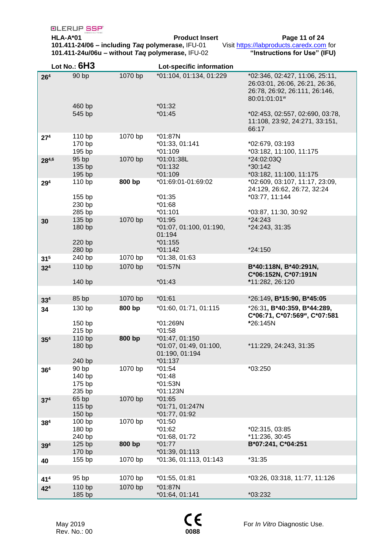**HLA-A\*01 Product Insert Page 11 of 24 101.411-24/06 – including** *Taq* **polymerase,** IFU-01 Visit [https://labproducts.caredx.com](https://labproducts.caredx.com/) for **101.411-24u/06u – without** *Taq* **polymerase,** IFU-02 **"Instructions for Use" (IFU)**

|                 | Lot No.: $6H3$                       |         | Lot-specific information                                                |                                                                                                                               |
|-----------------|--------------------------------------|---------|-------------------------------------------------------------------------|-------------------------------------------------------------------------------------------------------------------------------|
| 26 <sup>4</sup> | 90 bp                                | 1070 bp | *01:104, 01:134, 01:229                                                 | *02:346, 02:427, 11:06, 25:11,<br>26:03:01, 26:06, 26:21, 26:36,<br>26:78, 26:92, 26:111, 26:146,<br>80:01:01:01 <sup>w</sup> |
|                 | 460 bp<br>545 bp                     |         | $*01:32$<br>$*01:45$                                                    | *02:453, 02:557, 02:690, 03:78,<br>11:108, 23:92, 24:271, 33:151,<br>66:17                                                    |
| 27 <sup>4</sup> | 110 bp<br>170 bp<br>195 bp           | 1070 bp | *01:87N<br>*01:33, 01:141<br>*01:109                                    | *02:679, 03:193<br>*03:182, 11:100, 11:175                                                                                    |
| 284,6           | 95 bp<br>135 bp<br>195 bp            | 1070 bp | *01:01:38L<br>$*01:132$<br>$*01:109$                                    | *24:02:03Q<br>*30:142<br>*03:182, 11:100, 11:175                                                                              |
| 29 <sup>4</sup> | 110 bp<br>155 bp<br>230 bp<br>285 bp | 800 bp  | *01:69:01-01:69:02<br>$*01:35$<br>$*01:68$<br>$*01:101$                 | *02:609, 03:107, 11:17, 23:09,<br>24:129, 26:62, 26:72, 32:24<br>*03:77, 11:144<br>*03:87, 11:30, 30:92                       |
| 30              | 135 bp<br>180 bp<br>220 bp<br>280 bp | 1070 bp | $*01:95$<br>*01:07, 01:100, 01:190,<br>01:194<br>$*01:155$<br>$*01:142$ | *24:243<br>*24:243, 31:35<br>*24:150                                                                                          |
| 31 <sup>5</sup> | 240 bp                               | 1070 bp | *01:38, 01:63                                                           |                                                                                                                               |
| $32^{4}$        | 110 bp<br>140 bp                     | 1070 bp | *01:57N<br>$*01:43$                                                     | B*40:118N, B*40:291N,<br>C*06:152N, C*07:191N<br>*11:282, 26:120                                                              |
|                 |                                      |         |                                                                         |                                                                                                                               |
| 33 <sup>4</sup> | 85 bp                                | 1070 bp | $*01:61$                                                                | *26:149, B*15:90, B*45:05                                                                                                     |
| 34              | 130 bp<br>150 bp                     | 800 bp  | *01:60, 01:71, 01:115<br>*01:269N                                       | *26:31, B*40:359, B*44:289,<br>C*06:71, C*07:569", C*07:581<br>*26:145N                                                       |
|                 | 215 bp                               |         | $*01:58$                                                                |                                                                                                                               |
| 35 <sup>4</sup> | 110 bp<br>180 bp<br>240 bp           | 800 bp  | *01:47, 01:150<br>*01:07, 01:49, 01:100,<br>01:190, 01:194<br>$*01:137$ | *11:229, 24:243, 31:35                                                                                                        |
| 36 <sup>4</sup> | 90 bp<br>140 bp<br>175 bp<br>235 bp  | 1070 bp | $*01:54$<br>$*01:48$<br>$*01:53N$<br>*01:123N                           | *03:250                                                                                                                       |
| 37 <sup>4</sup> | 65 bp<br>115 bp<br>150 bp            | 1070 bp | $*01:65$<br>*01:71, 01:247N<br>*01:77, 01:92                            |                                                                                                                               |
| 38 <sup>4</sup> | 100 bp<br>180 bp<br>240 bp           | 1070 bp | $*01:50$<br>$*01:62$<br>*01:68, 01:72                                   | *02:315, 03:85<br>*11:236, 30:45                                                                                              |
| 39 <sup>4</sup> | 125 bp<br>170 bp                     | 800 bp  | $*01:77$<br>$*01:39, 01:113$                                            | B*07:241, C*04:251                                                                                                            |
| 40              | 155 bp                               | 1070 bp | *01:36, 01:113, 01:143                                                  | *31:35                                                                                                                        |
| 41 <sup>4</sup> | 95 bp                                | 1070 bp | *01:55, 01:81                                                           | *03:26, 03:318, 11:77, 11:126                                                                                                 |
| $42^{4}$        | 110 bp                               | 1070 bp | *01:87N                                                                 |                                                                                                                               |
|                 | 185 bp                               |         | *01:64, 01:141                                                          | *03:232                                                                                                                       |

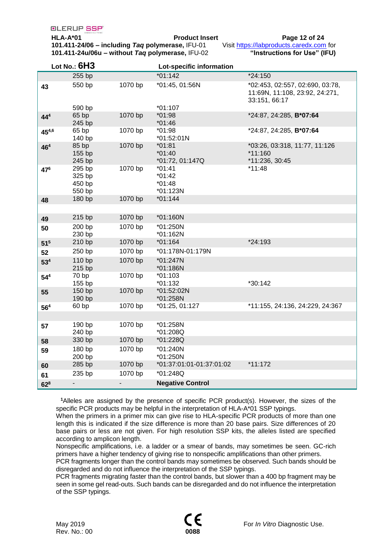**HLA-A\*01 Product Insert Page 12 of 24 101.411-24/06 – including** *Taq* **polymerase,** IFU-01 Visit [https://labproducts.caredx.com](https://labproducts.caredx.com/) for **101.411-24u/06u – without** *Taq* **polymerase,** IFU-02 **"Instructions for Use" (IFU)**

|                 | Lot No.: $6H3$                       |                          | Lot-specific information                     |                                                                                    |
|-----------------|--------------------------------------|--------------------------|----------------------------------------------|------------------------------------------------------------------------------------|
|                 | 255 bp                               |                          | $*01:142$                                    | *24:150                                                                            |
| 43              | 550 bp                               | 1070 bp                  | *01:45, 01:56N                               | *02:453, 02:557, 02:690, 03:78,<br>11:69N, 11:108, 23:92, 24:271,<br>33:151, 66:17 |
|                 | 590 bp                               |                          | $*01:107$                                    |                                                                                    |
| $44^{4}$        | 65 bp<br>245 bp                      | 1070 bp                  | *01:98<br>$*01:46$                           | *24:87, 24:285, B*07:64                                                            |
| 454,6           | 65 bp<br>140 bp                      | 1070 bp                  | $*01:98$<br>*01:52:01N                       | *24:87, 24:285, B*07:64                                                            |
| 46 <sup>4</sup> | 85 bp<br>155 bp<br>245 bp            | 1070 bp                  | $*01:81$<br>$*01:40$<br>*01:72, 01:147Q      | *03:26, 03:318, 11:77, 11:126<br>*11:160<br>*11:236, 30:45                         |
| 476             | 295 bp<br>325 bp<br>450 bp<br>550 bp | 1070 bp                  | $*01:41$<br>$*01:42$<br>$*01:48$<br>*01:123N | $*11:48$                                                                           |
| 48              | 180 bp                               | 1070 bp                  | $*01:144$                                    |                                                                                    |
| 49              | 215 bp                               | 1070 bp                  | *01:160N                                     |                                                                                    |
| 50              | 200 bp<br>230 bp                     | 1070 bp                  | *01:250N<br>*01:162N                         |                                                                                    |
| 51 <sup>5</sup> | 210 bp                               | 1070 bp                  | $*01:164$                                    | *24:193                                                                            |
| 52              | 250 bp                               | 1070 bp                  | *01:178N-01:179N                             |                                                                                    |
| 53 <sup>4</sup> | 110 bp<br>215 bp                     | 1070 bp                  | *01:247N<br>*01:186N                         |                                                                                    |
| 54 <sup>4</sup> | 70 bp<br>155 bp                      | 1070 bp                  | $*01:103$<br>*01:132                         | *30:142                                                                            |
| 55              | 150 bp<br>190 bp                     | 1070 bp                  | *01:52:02N<br>*01:258N                       |                                                                                    |
| 56 <sup>4</sup> | 60bp                                 | 1070 bp                  | *01:25, 01:127                               | *11:155, 24:136, 24:229, 24:367                                                    |
|                 |                                      |                          |                                              |                                                                                    |
| 57              | 190 bp<br>240 bp                     | 1070 bp                  | *01:258N<br>*01:208Q                         |                                                                                    |
| 58              | 330 bp                               | 1070 bp                  | *01:228Q                                     |                                                                                    |
| 59              | 180 bp<br>200 bp                     | 1070 bp                  | *01:240N<br>*01:250N                         |                                                                                    |
| 60              | 285 bp                               | 1070 bp                  | *01:37:01:01-01:37:01:02                     | *11:172                                                                            |
| 61              | 235 bp                               | 1070 bp                  | *01:248Q                                     |                                                                                    |
| 62 <sup>8</sup> | $\blacksquare$                       | $\overline{\phantom{a}}$ | <b>Negative Control</b>                      |                                                                                    |

**<sup>1</sup>**Alleles are assigned by the presence of specific PCR product(s). However, the sizes of the specific PCR products may be helpful in the interpretation of HLA-A\*01 SSP typings.

When the primers in a primer mix can give rise to HLA-specific PCR products of more than one length this is indicated if the size difference is more than 20 base pairs. Size differences of 20 base pairs or less are not given. For high resolution SSP kits, the alleles listed are specified according to amplicon length.

Nonspecific amplifications, i.e. a ladder or a smear of bands, may sometimes be seen. GC-rich primers have a higher tendency of giving rise to nonspecific amplifications than other primers.

PCR fragments longer than the control bands may sometimes be observed. Such bands should be disregarded and do not influence the interpretation of the SSP typings.

PCR fragments migrating faster than the control bands, but slower than a 400 bp fragment may be seen in some gel read-outs. Such bands can be disregarded and do not influence the interpretation of the SSP typings.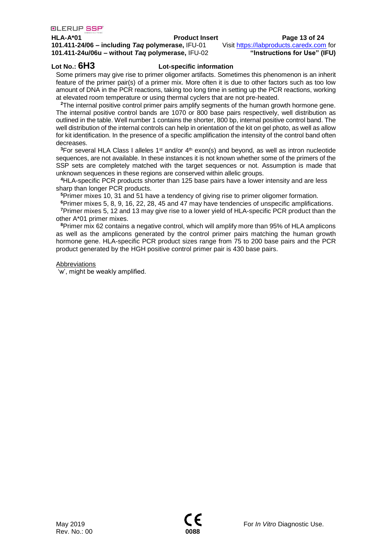### **HLA-A\*01 Product Insert Page 13 of 24**

**101.411-24/06 – including** *Taq* **polymerase,** IFU-01 Visit [https://labproducts.caredx.com](https://labproducts.caredx.com/) for **101.411-24u/06u – without** *Taq* **polymerase,** IFU-02 **"Instructions for Use" (IFU)**

### **Lot No.: 6H3 Lot-specific information**

Some primers may give rise to primer oligomer artifacts. Sometimes this phenomenon is an inherit feature of the primer pair(s) of a primer mix. More often it is due to other factors such as too low amount of DNA in the PCR reactions, taking too long time in setting up the PCR reactions, working at elevated room temperature or using thermal cyclers that are not pre-heated.

**<sup>2</sup>**The internal positive control primer pairs amplify segments of the human growth hormone gene. The internal positive control bands are 1070 or 800 base pairs respectively, well distribution as outlined in the table. Well number 1 contains the shorter, 800 bp, internal positive control band. The well distribution of the internal controls can help in orientation of the kit on gel photo, as well as allow for kit identification. In the presence of a specific amplification the intensity of the control band often decreases.

<sup>3</sup>For several HLA Class I alleles 1<sup>st</sup> and/or 4<sup>th</sup> exon(s) and beyond, as well as intron nucleotide sequences, are not available. In these instances it is not known whether some of the primers of the SSP sets are completely matched with the target sequences or not. Assumption is made that unknown sequences in these regions are conserved within allelic groups.

**<sup>4</sup>**HLA-specific PCR products shorter than 125 base pairs have a lower intensity and are less sharp than longer PCR products.

**<sup>5</sup>**Primer mixes 10, 31 and 51 have a tendency of giving rise to primer oligomer formation.

**<sup>6</sup>**Primer mixes 5, 8, 9, 16, 22, 28, 45 and 47 may have tendencies of unspecific amplifications.

**<sup>7</sup>**Primer mixes 5, 12 and 13 may give rise to a lower yield of HLA-specific PCR product than the other A\*01 primer mixes.

**<sup>8</sup>**Primer mix 62 contains a negative control, which will amplify more than 95% of HLA amplicons as well as the amplicons generated by the control primer pairs matching the human growth hormone gene. HLA-specific PCR product sizes range from 75 to 200 base pairs and the PCR product generated by the HGH positive control primer pair is 430 base pairs.

### Abbreviations

'w', might be weakly amplified.

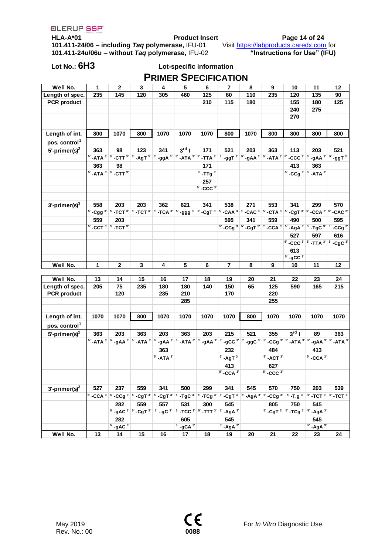**HLA-A\*01 Product Insert Page 14 of 24 101.411-24/06 – including** *Taq* **polymerase,** IFU-01 Visit [https://labproducts.caredx.com](https://labproducts.caredx.com/) for **101.411-24u/06u – without** *Taq* **polymerase,** IFU-02 **"Instructions for Use" (IFU)**

## **Lot No.: 6H3 Lot-specific information PRIMER SPECIFICATION**

| Well No.                  | 1                                                         | $\mathbf{2}$                       | 3                                                                                      | 4                            | 5                                  | 6                                                                                      | 7                            | 8    | 9                                                                                                                                                                                                                                       | 10                           | 11                                                                                                                                                                                                                                                                                                | 12   |
|---------------------------|-----------------------------------------------------------|------------------------------------|----------------------------------------------------------------------------------------|------------------------------|------------------------------------|----------------------------------------------------------------------------------------|------------------------------|------|-----------------------------------------------------------------------------------------------------------------------------------------------------------------------------------------------------------------------------------------|------------------------------|---------------------------------------------------------------------------------------------------------------------------------------------------------------------------------------------------------------------------------------------------------------------------------------------------|------|
| Length of spec.           | 235                                                       | 145                                | 120                                                                                    | 305                          | 460                                | 125                                                                                    | 60                           | 110  | 235                                                                                                                                                                                                                                     | 120                          | 135                                                                                                                                                                                                                                                                                               | 90   |
| <b>PCR</b> product        |                                                           |                                    |                                                                                        |                              |                                    | 210                                                                                    | 115                          | 180  |                                                                                                                                                                                                                                         | 155                          | 180                                                                                                                                                                                                                                                                                               | 125  |
|                           |                                                           |                                    |                                                                                        |                              |                                    |                                                                                        |                              |      |                                                                                                                                                                                                                                         | 240                          | 275                                                                                                                                                                                                                                                                                               |      |
|                           |                                                           |                                    |                                                                                        |                              |                                    |                                                                                        |                              |      |                                                                                                                                                                                                                                         | 270                          |                                                                                                                                                                                                                                                                                                   |      |
|                           |                                                           |                                    |                                                                                        |                              |                                    |                                                                                        |                              |      |                                                                                                                                                                                                                                         |                              |                                                                                                                                                                                                                                                                                                   |      |
| Length of int.            | 800                                                       | 1070                               | 800                                                                                    | 1070                         | 1070                               | 1070                                                                                   | 800                          | 1070 | 800                                                                                                                                                                                                                                     | 800                          | 800                                                                                                                                                                                                                                                                                               | 800  |
| pos. control <sup>1</sup> |                                                           |                                    |                                                                                        |                              |                                    |                                                                                        |                              |      |                                                                                                                                                                                                                                         |                              |                                                                                                                                                                                                                                                                                                   |      |
| 5'-primer(s) $2$          | 363                                                       | 98                                 | 123                                                                                    | 341                          | $3rd$                              | 171                                                                                    | 521                          | 203  | 363                                                                                                                                                                                                                                     | 113                          | 203                                                                                                                                                                                                                                                                                               | 521  |
|                           |                                                           |                                    |                                                                                        |                              |                                    |                                                                                        |                              |      |                                                                                                                                                                                                                                         |                              | 5' -ATA 3' 5' -CTT 3' 5' -AgT 3' 5' -ggA 3' 5' -ATA 3' 5' -TTA 3' 5' -ggT 3' 5' -gAA 3' 5' -ATA 3' 5' -CCC 3' 5' -gAA 3' 5' -ggT 3'                                                                                                                                                               |      |
|                           | 363                                                       | 98                                 |                                                                                        |                              |                                    | 171                                                                                    |                              |      |                                                                                                                                                                                                                                         | 413                          | 363                                                                                                                                                                                                                                                                                               |      |
|                           | $5'$ -ATA $3'$ $5'$ -CTT $3'$                             |                                    |                                                                                        |                              |                                    | $5^{\circ}$ -TTg $3^{\circ}$                                                           |                              |      |                                                                                                                                                                                                                                         |                              | $5^{\circ}$ -CCg $3^{\circ}$ $5^{\circ}$ -ATA $3^{\circ}$                                                                                                                                                                                                                                         |      |
|                           |                                                           |                                    |                                                                                        |                              |                                    | 257                                                                                    |                              |      |                                                                                                                                                                                                                                         |                              |                                                                                                                                                                                                                                                                                                   |      |
|                           |                                                           |                                    |                                                                                        |                              |                                    | $5^{\circ}$ -CCC $3^{\circ}$                                                           |                              |      |                                                                                                                                                                                                                                         |                              |                                                                                                                                                                                                                                                                                                   |      |
|                           |                                                           |                                    |                                                                                        |                              |                                    |                                                                                        |                              |      |                                                                                                                                                                                                                                         |                              |                                                                                                                                                                                                                                                                                                   |      |
| $3'$ -primer(s) $3$       | 558                                                       | 203                                | 203                                                                                    | 362                          | 621                                | 341                                                                                    | 538                          | 271  | 553                                                                                                                                                                                                                                     | 341                          | 299                                                                                                                                                                                                                                                                                               | 570  |
|                           |                                                           |                                    |                                                                                        |                              |                                    |                                                                                        |                              |      |                                                                                                                                                                                                                                         |                              | 5' -Cgg 3' 5' -TCT 3' 5' -TCT 3' 5' -TCA 3' 5' -ggg 3' 5' -CgT 3' 5' -CAA 3' 5' -CAC 3' 5' -CTA 3' 5' -CGT 3' 5' -CCA 3' 5' -CAC 3'                                                                                                                                                               |      |
|                           | 559                                                       | 203                                |                                                                                        |                              |                                    |                                                                                        | 595                          | 341  | 559                                                                                                                                                                                                                                     | 490                          | 500                                                                                                                                                                                                                                                                                               | 595  |
|                           | $5^{\circ}$ -CCT $3^{\circ}$ $5^{\circ}$ -TCT $3^{\circ}$ |                                    |                                                                                        |                              |                                    |                                                                                        |                              |      |                                                                                                                                                                                                                                         |                              | 5' -CCg 3' 5' -CgT 3' 5' -CCA 3' 5' -AgA 3' 5' -TgC 3' 5' -CCg 3'                                                                                                                                                                                                                                 |      |
|                           |                                                           |                                    |                                                                                        |                              |                                    |                                                                                        |                              |      |                                                                                                                                                                                                                                         | 527                          | 597                                                                                                                                                                                                                                                                                               | 616  |
|                           |                                                           |                                    |                                                                                        |                              |                                    |                                                                                        |                              |      |                                                                                                                                                                                                                                         |                              | 5' -CCC 3' 5' -TTA 3' 5' -CgC 3'                                                                                                                                                                                                                                                                  |      |
|                           |                                                           |                                    |                                                                                        |                              |                                    |                                                                                        |                              |      |                                                                                                                                                                                                                                         | 613                          |                                                                                                                                                                                                                                                                                                   |      |
|                           |                                                           |                                    |                                                                                        |                              |                                    |                                                                                        |                              |      |                                                                                                                                                                                                                                         | $5^{\circ}$ -gCC $3^{\circ}$ |                                                                                                                                                                                                                                                                                                   |      |
|                           |                                                           |                                    |                                                                                        |                              |                                    |                                                                                        |                              |      |                                                                                                                                                                                                                                         |                              |                                                                                                                                                                                                                                                                                                   |      |
| Well No.                  | 1                                                         | 2                                  | 3                                                                                      | 4                            | 5                                  | 6                                                                                      | 7                            | 8    | 9                                                                                                                                                                                                                                       | 10                           | 11                                                                                                                                                                                                                                                                                                | 12   |
|                           |                                                           |                                    |                                                                                        |                              |                                    |                                                                                        |                              |      |                                                                                                                                                                                                                                         |                              |                                                                                                                                                                                                                                                                                                   |      |
| Well No.                  | 13                                                        | 14                                 | 15                                                                                     | 16                           | 17                                 | 18                                                                                     | 19                           | 20   | 21                                                                                                                                                                                                                                      | 22                           | 23                                                                                                                                                                                                                                                                                                | 24   |
| Length of spec.           | 205                                                       | 75                                 | 235                                                                                    | 180                          | 180                                | 140                                                                                    | 150                          | 65   | 125                                                                                                                                                                                                                                     | 590                          | 165                                                                                                                                                                                                                                                                                               | 215  |
| <b>PCR</b> product        |                                                           | 120                                |                                                                                        | 235                          | 210                                |                                                                                        | 170                          |      | 220                                                                                                                                                                                                                                     |                              |                                                                                                                                                                                                                                                                                                   |      |
|                           |                                                           |                                    |                                                                                        |                              | 285                                |                                                                                        |                              |      | 255                                                                                                                                                                                                                                     |                              |                                                                                                                                                                                                                                                                                                   |      |
|                           |                                                           |                                    |                                                                                        |                              |                                    |                                                                                        |                              |      |                                                                                                                                                                                                                                         |                              |                                                                                                                                                                                                                                                                                                   |      |
| Length of int.            | 1070                                                      | 1070                               | 800                                                                                    | 1070                         | 1070                               | 1070                                                                                   | 1070                         | 800  | 1070                                                                                                                                                                                                                                    | 1070                         | 1070                                                                                                                                                                                                                                                                                              | 1070 |
| pos. control <sup>1</sup> |                                                           |                                    |                                                                                        |                              |                                    |                                                                                        |                              |      |                                                                                                                                                                                                                                         |                              |                                                                                                                                                                                                                                                                                                   |      |
| 5'-primer(s) $2$          | 363                                                       | 203                                | 363                                                                                    | 203                          | 363                                | 203                                                                                    | 215                          | 521  | 355                                                                                                                                                                                                                                     | $3^{\rm rd}$                 | 89                                                                                                                                                                                                                                                                                                | 363  |
|                           |                                                           |                                    |                                                                                        |                              |                                    |                                                                                        |                              |      |                                                                                                                                                                                                                                         |                              | $5^{\circ}$ -ATA $3^{\circ}$ $5^{\circ}$ -gAA $3^{\circ}$ $5^{\circ}$ -ATA $3^{\circ}$ $5^{\circ}$ -ATA $3^{\circ}$ $5^{\circ}$ -gAA $3^{\circ}$ $5^{\circ}$ -gCC $3^{\circ}$ $5^{\circ}$ -CCg $3^{\circ}$ $5^{\circ}$ -ATA $3^{\circ}$ $5^{\circ}$ -ATA $3^{\circ}$ $5^{\circ}$ -ATA $3^{\circ}$ |      |
|                           |                                                           |                                    |                                                                                        | 363                          |                                    |                                                                                        | 232                          |      | 484                                                                                                                                                                                                                                     |                              | 413                                                                                                                                                                                                                                                                                               |      |
|                           |                                                           |                                    |                                                                                        | $5^{\circ}$ -ATA $3^{\circ}$ |                                    |                                                                                        | $5^{\circ}$ -AgT $3^{\circ}$ |      | $5^{\circ}$ -ACT $3^{\circ}$                                                                                                                                                                                                            |                              | $5^{\circ}$ -CCA $3^{\circ}$                                                                                                                                                                                                                                                                      |      |
|                           |                                                           |                                    |                                                                                        |                              |                                    |                                                                                        | 413                          |      | 627                                                                                                                                                                                                                                     |                              |                                                                                                                                                                                                                                                                                                   |      |
|                           |                                                           |                                    |                                                                                        |                              |                                    |                                                                                        | $5^{\circ}$ -CCA $3^{\circ}$ |      | $5^{\circ}$ -CCC $3^{\circ}$                                                                                                                                                                                                            |                              |                                                                                                                                                                                                                                                                                                   |      |
|                           |                                                           |                                    |                                                                                        |                              |                                    |                                                                                        |                              |      |                                                                                                                                                                                                                                         |                              |                                                                                                                                                                                                                                                                                                   |      |
| $3$ -primer(s) $3$        | 527                                                       | 237                                | 559                                                                                    | 341                          | 500                                | 299                                                                                    | 341                          | 545  | 570                                                                                                                                                                                                                                     | 750                          | 203                                                                                                                                                                                                                                                                                               | 539  |
|                           |                                                           |                                    |                                                                                        |                              |                                    |                                                                                        |                              |      | $5^{\circ}$ -CCA $3^{\circ}$ $5^{\circ}$ -CCg $3^{\circ}$ $5^{\circ}$ -CgT $3^{\circ}$ $5^{\circ}$ -TgC $3^{\circ}$ $5^{\circ}$ -TCg $3^{\circ}$ $5^{\circ}$ -CgT $3^{\circ}$ $5^{\circ}$ -AgA $3^{\circ}$ $5^{\circ}$ -CCg $3^{\circ}$ |                              | $5^{\circ}$ -T.g $3^{\circ}$ $5^{\circ}$ -TCT $3^{\circ}$ $5^{\circ}$ -TCT $3^{\circ}$                                                                                                                                                                                                            |      |
|                           |                                                           | 282                                | 559                                                                                    | 557                          | 531                                | 300                                                                                    | 545                          |      | 805                                                                                                                                                                                                                                     | 750                          | 545                                                                                                                                                                                                                                                                                               |      |
|                           |                                                           |                                    | $5^{\circ}$ -gAC $3^{\circ}$ $5^{\circ}$ -CgT $3^{\circ}$ $5^{\circ}$ -.gC $3^{\circ}$ |                              |                                    | $5^{\circ}$ -TCC $3^{\circ}$ $5^{\circ}$ -TTT $3^{\circ}$ $5^{\circ}$ -AgA $3^{\circ}$ |                              |      |                                                                                                                                                                                                                                         |                              | 5' -CgT 3' 5' -TCg 3' 5' -AgA 3'                                                                                                                                                                                                                                                                  |      |
|                           |                                                           | 282                                |                                                                                        |                              | 605                                |                                                                                        | 545                          |      |                                                                                                                                                                                                                                         |                              | 545                                                                                                                                                                                                                                                                                               |      |
| Well No.                  | 13                                                        | $5^{\circ}$ -gAC $3^{\circ}$<br>14 | 15                                                                                     | 16                           | $5^{\circ}$ -gCA $3^{\circ}$<br>17 | 18                                                                                     | $5'$ -AgA $3'$<br>19         | 20   | 21                                                                                                                                                                                                                                      | 22                           | $5$ ' -AgA $3$ '<br>23                                                                                                                                                                                                                                                                            | 24   |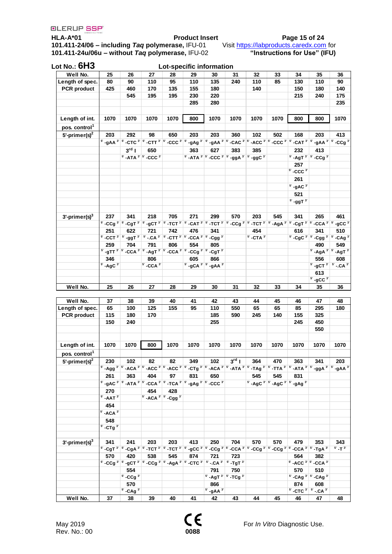**HLA-A\*01 Product Insert Page 15 of 24 101.411-24/06 – including** *Taq* **polymerase,** IFU-01 Visit [https://labproducts.caredx.com](https://labproducts.caredx.com/) for **101.411-24u/06u – without** *Taq* **polymerase,** IFU-02 **"Instructions for Use" (IFU)**

| Lot No.: <b>6H3</b>       |                              |                                                                                                                                                                            |                              |                       | Lot-specific information |                               |                                             |                                                                                         |      |                                                                                        |                                                                                                                                                                                                                    |                     |
|---------------------------|------------------------------|----------------------------------------------------------------------------------------------------------------------------------------------------------------------------|------------------------------|-----------------------|--------------------------|-------------------------------|---------------------------------------------|-----------------------------------------------------------------------------------------|------|----------------------------------------------------------------------------------------|--------------------------------------------------------------------------------------------------------------------------------------------------------------------------------------------------------------------|---------------------|
| Well No.                  | 25                           | 26                                                                                                                                                                         | 27                           | 28                    | 29                       | 30                            | 31                                          | 32                                                                                      | 33   | 34                                                                                     | 35                                                                                                                                                                                                                 | 36                  |
| Length of spec.           | 80                           | 90                                                                                                                                                                         | 110                          | 95                    | 110                      | 135                           | 240                                         | 110                                                                                     | 85   | 130                                                                                    | 110                                                                                                                                                                                                                | 90                  |
| <b>PCR</b> product        | 425                          | 460                                                                                                                                                                        | 170                          | 135                   | 155                      | 180                           |                                             | 140                                                                                     |      | 150                                                                                    | 180                                                                                                                                                                                                                | 140                 |
|                           |                              | 545                                                                                                                                                                        | 195                          | 195                   | 230                      | 220                           |                                             |                                                                                         |      | 215                                                                                    | 240                                                                                                                                                                                                                | 175                 |
|                           |                              |                                                                                                                                                                            |                              |                       | 285                      | 280                           |                                             |                                                                                         |      |                                                                                        |                                                                                                                                                                                                                    | 235                 |
| Length of int.            | 1070                         | 1070                                                                                                                                                                       | 1070                         | 1070                  | 800                      | 1070                          | 1070                                        | 1070                                                                                    | 1070 | 800                                                                                    | 800                                                                                                                                                                                                                | 1070                |
| pos. control <sup>1</sup> |                              |                                                                                                                                                                            |                              |                       |                          |                               |                                             |                                                                                         |      |                                                                                        |                                                                                                                                                                                                                    |                     |
|                           | 203                          | 292                                                                                                                                                                        | 98                           | 650                   | 203                      | 203                           | 360                                         | 102                                                                                     | 502  | 168                                                                                    | 203                                                                                                                                                                                                                | 413                 |
| 5'-primer(s) $2$          |                              |                                                                                                                                                                            |                              |                       |                          |                               |                                             |                                                                                         |      |                                                                                        |                                                                                                                                                                                                                    |                     |
|                           |                              |                                                                                                                                                                            |                              |                       |                          |                               |                                             |                                                                                         |      |                                                                                        | 5° -gAA $^3$ $^ $ 5° -CTC $^3$ $^ $ 5′ -CTT $^3$ $^ $ 5′ -CCC $^3$ $^ $ 5′ -gAg $^3$ $^ $ 5′ -gAA $^3$ $^ $ 5′ -CAC $^3$ $^ $ 5′ -ACC $^3$ $^ $ 5′ -CCC $^3$ $^ $ 5′ -CAT $^3$ $^ $ 5′ -CAT $^3$ $^ $ 5′ -CCg $^3$ |                     |
|                           |                              | 3 <sup>rd</sup> 1                                                                                                                                                          | 650                          |                       | 363                      | 627                           | 383                                         | 385                                                                                     |      | 232                                                                                    | 413                                                                                                                                                                                                                |                     |
|                           |                              |                                                                                                                                                                            | $5$ -ATA $3'$ $5'$ -CCC $3'$ |                       |                          |                               |                                             | 5' -ATA <sup>3'</sup> 5' -CCC <sup>3'</sup> 5' -ggA <sup>3'</sup> 5' -ggC <sup>3'</sup> |      |                                                                                        | $5^{\circ}$ -AgT $3^{\circ}$ $5^{\circ}$ -CCg $3^{\circ}$                                                                                                                                                          |                     |
|                           |                              |                                                                                                                                                                            |                              |                       |                          |                               |                                             |                                                                                         |      | 257                                                                                    |                                                                                                                                                                                                                    |                     |
|                           |                              |                                                                                                                                                                            |                              |                       |                          |                               |                                             |                                                                                         |      | $5^{\circ}$ -CCC $3^{\circ}$                                                           |                                                                                                                                                                                                                    |                     |
|                           |                              |                                                                                                                                                                            |                              |                       |                          |                               |                                             |                                                                                         |      | 261                                                                                    |                                                                                                                                                                                                                    |                     |
|                           |                              |                                                                                                                                                                            |                              |                       |                          |                               |                                             |                                                                                         |      | $5^{\circ}$ -gAC $3^{\circ}$                                                           |                                                                                                                                                                                                                    |                     |
|                           |                              |                                                                                                                                                                            |                              |                       |                          |                               |                                             |                                                                                         |      | 521                                                                                    |                                                                                                                                                                                                                    |                     |
|                           |                              |                                                                                                                                                                            |                              |                       |                          |                               |                                             |                                                                                         |      | $5^{\circ}$ -ggT $3^{\circ}$                                                           |                                                                                                                                                                                                                    |                     |
|                           |                              |                                                                                                                                                                            |                              |                       |                          |                               |                                             |                                                                                         |      |                                                                                        |                                                                                                                                                                                                                    |                     |
| $3'$ -primer(s) $3'$      | 237                          | 341                                                                                                                                                                        | 218                          | 705                   | 271                      | 299                           | 570                                         | 203                                                                                     | 545  | 341                                                                                    | 265                                                                                                                                                                                                                | 461                 |
|                           |                              |                                                                                                                                                                            |                              |                       |                          |                               |                                             |                                                                                         |      |                                                                                        | 5' -CCg 3' 5' -CgT 3' 5' -gCT 3' 5' -TCT 3' 5' -CAT 3' 5' -TCT 3' 5' -CCg 3' 5' -TCT 3' 5' -AgA 3' 5' -CgT 3' 5' -CCA 3' 5' -gCC 3'                                                                                |                     |
|                           | 251                          | 622                                                                                                                                                                        | 721                          | 742                   | 476                      | 341                           |                                             | 454                                                                                     |      | 616                                                                                    | 341                                                                                                                                                                                                                | 510                 |
|                           |                              | 5' -CCT 3' 5' -ggT 3' 5' -.CA 3' 5' -CTT 3' 5' -CCA 3' 5' -Cgg 3'                                                                                                          |                              |                       |                          |                               |                                             | $5^{\circ}$ -CTA $3^{\circ}$                                                            |      |                                                                                        | 5' -CgC 3' 5' -Cgg 3' 5' -CAg 3'                                                                                                                                                                                   |                     |
|                           | 259                          | 704                                                                                                                                                                        | 791                          | 806                   | 554                      | 805                           |                                             |                                                                                         |      |                                                                                        | 490                                                                                                                                                                                                                | 549                 |
|                           |                              | 5' -gTT 3' 5' -CCA 3' 5' -AgT 3' 5' -CCA 3' 5' -CCg 3' 5' -CgT 3'                                                                                                          |                              |                       |                          |                               |                                             |                                                                                         |      |                                                                                        | $5^{\circ}$ -AgA $3^{\circ}$ $5^{\circ}$ -AgT $3^{\circ}$                                                                                                                                                          |                     |
|                           | 346                          |                                                                                                                                                                            | 806                          |                       | 605                      | 866                           |                                             |                                                                                         |      |                                                                                        | 556                                                                                                                                                                                                                | 608                 |
|                           | $5^{\circ}$ -AgC $3^{\circ}$ |                                                                                                                                                                            | $5^{\circ}$ -CCA $3^{\circ}$ |                       |                          | $5'$ -gCA $3'$ $5'$ -gAA $3'$ |                                             |                                                                                         |      |                                                                                        | $5'$ -gCT $3'$ $5'$ -.CA $3'$                                                                                                                                                                                      |                     |
|                           |                              |                                                                                                                                                                            |                              |                       |                          |                               |                                             |                                                                                         |      |                                                                                        |                                                                                                                                                                                                                    |                     |
|                           |                              |                                                                                                                                                                            |                              |                       |                          |                               |                                             |                                                                                         |      |                                                                                        | 613<br>$5^{\circ}$ -gCC $3^{\circ}$                                                                                                                                                                                |                     |
|                           |                              |                                                                                                                                                                            |                              |                       |                          |                               |                                             |                                                                                         |      |                                                                                        |                                                                                                                                                                                                                    |                     |
| Well No.                  | 25                           | 26                                                                                                                                                                         | 27                           | 28                    | 29                       | 30                            | 31                                          | 32                                                                                      | 33   | 34                                                                                     | 35                                                                                                                                                                                                                 | 36                  |
|                           |                              |                                                                                                                                                                            |                              |                       |                          |                               |                                             |                                                                                         |      |                                                                                        |                                                                                                                                                                                                                    |                     |
| Well No.                  | 37                           | 38                                                                                                                                                                         | 39                           | 40                    | 41                       | 42                            | 43                                          | 44                                                                                      | 45   | 46                                                                                     | 47                                                                                                                                                                                                                 | 48                  |
| Length of spec.           | 65                           | 100                                                                                                                                                                        | 125                          | 155                   | 95                       | 110                           | 550                                         | 65                                                                                      | 65   | 85                                                                                     | 295                                                                                                                                                                                                                | 180                 |
| <b>PCR</b> product        | 115                          | 180                                                                                                                                                                        | 170                          |                       |                          | 185                           | 590                                         | 245                                                                                     | 140  | 155                                                                                    | 325                                                                                                                                                                                                                |                     |
|                           | 150                          | 240                                                                                                                                                                        |                              |                       |                          | 255                           |                                             |                                                                                         |      | 245                                                                                    | 450                                                                                                                                                                                                                |                     |
|                           |                              |                                                                                                                                                                            |                              |                       |                          |                               |                                             |                                                                                         |      |                                                                                        | 550                                                                                                                                                                                                                |                     |
| Length of int.            | 1070                         | 1070                                                                                                                                                                       | 800                          | 1070                  | 1070                     | 1070                          | 1070                                        | 1070                                                                                    | 1070 | 1070                                                                                   | 1070                                                                                                                                                                                                               | 1070                |
| pos. control <sup>1</sup> |                              |                                                                                                                                                                            |                              |                       |                          |                               |                                             |                                                                                         |      |                                                                                        |                                                                                                                                                                                                                    |                     |
| 5'-primer(s) $2$          | 230                          | 102                                                                                                                                                                        | 82                           | 82                    | 349                      | 102                           | $3^{\rm rd}$                                | 364                                                                                     | 470  | 363                                                                                    | 341                                                                                                                                                                                                                | 203                 |
|                           |                              |                                                                                                                                                                            |                              |                       |                          |                               |                                             |                                                                                         |      |                                                                                        | 5' -Agg 3' 5' -ACA 3' 5' -ACC 3' 5' -ACC 3' 5' -CTg 3' 5' -ACA 3' 5' -ATA 3' 5' -TAg 3' 5' -TTA 3' 5' -ATA 3' 5' -ggA 3' 5' -gAA 3'                                                                                |                     |
|                           | 261                          | 363                                                                                                                                                                        | 404                          | 97                    | 831                      | 650                           |                                             | 545                                                                                     | 545  | 831                                                                                    |                                                                                                                                                                                                                    |                     |
|                           |                              |                                                                                                                                                                            |                              |                       |                          |                               |                                             |                                                                                         |      |                                                                                        |                                                                                                                                                                                                                    |                     |
|                           |                              | 5' -gAC 3' 5' -ATA 3' 5' -CCA 3' 5' -TCA 3' 5' -gAg 3' 5' -CCC 3'                                                                                                          |                              |                       |                          |                               |                                             |                                                                                         |      | $5^{\circ}$ -AgC $3^{\circ}$ $5^{\circ}$ -AgC $3^{\circ}$ $5^{\circ}$ -gAg $3^{\circ}$ |                                                                                                                                                                                                                    |                     |
|                           | 270                          |                                                                                                                                                                            | 454                          | 428                   |                          |                               |                                             |                                                                                         |      |                                                                                        |                                                                                                                                                                                                                    |                     |
|                           | $5'$ -AAT $3'$               |                                                                                                                                                                            |                              | 5' -ACA 3' 5' -Cgg 3' |                          |                               |                                             |                                                                                         |      |                                                                                        |                                                                                                                                                                                                                    |                     |
|                           | 454                          |                                                                                                                                                                            |                              |                       |                          |                               |                                             |                                                                                         |      |                                                                                        |                                                                                                                                                                                                                    |                     |
|                           | $5'$ -ACA $3'$               |                                                                                                                                                                            |                              |                       |                          |                               |                                             |                                                                                         |      |                                                                                        |                                                                                                                                                                                                                    |                     |
|                           | 548                          |                                                                                                                                                                            |                              |                       |                          |                               |                                             |                                                                                         |      |                                                                                        |                                                                                                                                                                                                                    |                     |
|                           | $5^{\circ}$ -CTg $3^{\circ}$ |                                                                                                                                                                            |                              |                       |                          |                               |                                             |                                                                                         |      |                                                                                        |                                                                                                                                                                                                                    |                     |
|                           |                              |                                                                                                                                                                            |                              |                       |                          |                               |                                             |                                                                                         |      |                                                                                        |                                                                                                                                                                                                                    |                     |
| $3'$ -primer(s) $3$       | 341                          | 241                                                                                                                                                                        | 203                          | 203                   | 413                      | 250                           | 704                                         | 570                                                                                     | 570  | 479                                                                                    | 353                                                                                                                                                                                                                | 343<br>$5'$ -T $3'$ |
|                           |                              | 5' -CgT 3' 5' -CgA 3' 5' -TCT 3' 5' -TCT 3' 5' -gCC 3' 5' -CCg 3' 5' -CCA 3' 5' -CCg 3' 5' -CCg 3' 5' -CCA 3' 5' -TgA 3'                                                   |                              |                       |                          |                               |                                             |                                                                                         |      |                                                                                        |                                                                                                                                                                                                                    |                     |
|                           | 570                          | 420                                                                                                                                                                        | 538                          | 545                   | 874                      | 721                           | 723                                         |                                                                                         |      | 564                                                                                    | 382                                                                                                                                                                                                                |                     |
|                           |                              | 5' -CCg <sup>3'</sup> $5$ ' -gCT <sup>3'</sup> $5$ ' -CCg <sup>3'</sup> $5$ ' -AgA <sup>3'</sup> $5$ ' -CTC <sup>3'</sup> $5$ ' -CA <sup>3'</sup> $5$ ' -TgT <sup>3'</sup> |                              |                       |                          |                               |                                             |                                                                                         |      |                                                                                        | $5^{\circ}$ -ACC $3^{\circ}$ $5^{\circ}$ -CCA $3^{\circ}$                                                                                                                                                          |                     |
|                           |                              | 554                                                                                                                                                                        |                              |                       |                          | 791                           | 750                                         |                                                                                         |      | 570                                                                                    | 510                                                                                                                                                                                                                |                     |
|                           |                              | $5^{\circ}$ -CCg $3^{\circ}$                                                                                                                                               |                              |                       |                          |                               | 5' -AgT <sup>3'</sup> 5' -TCg <sup>3'</sup> |                                                                                         |      |                                                                                        | 5' -CAg <sup>3'</sup> 5' -CAg <sup>3'</sup>                                                                                                                                                                        |                     |
|                           |                              | 570                                                                                                                                                                        |                              |                       |                          | 866                           |                                             |                                                                                         |      | 874                                                                                    | 608                                                                                                                                                                                                                |                     |
|                           |                              | $5^{\circ}$ -CAg <sup>3'</sup>                                                                                                                                             |                              |                       |                          | $5^{\circ}$ -gAA $3^{\circ}$  |                                             |                                                                                         |      |                                                                                        | $5^{\circ}$ -CTC $3^{\circ}$ $5^{\circ}$ -.CA $3^{\circ}$                                                                                                                                                          |                     |
| Well No.                  | 37                           | 38                                                                                                                                                                         | 39                           | 40                    | 41                       | 42                            | 43                                          | 44                                                                                      | 45   | 46                                                                                     | 47                                                                                                                                                                                                                 | 48                  |

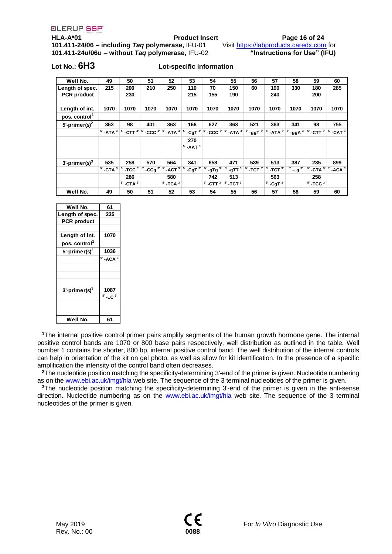**HLA-A\*01 Product Insert Page 16 of 24 101.411-24/06 – including** *Taq* **polymerase,** IFU-01 Visit [https://labproducts.caredx.com](https://labproducts.caredx.com/) for **101.411-24u/06u – without** *Taq* **polymerase,** IFU-02 **"Instructions for Use" (IFU)**

### **Lot No.: 6H3 Lot-specific information**

| Well No.                  | 49                                       | 50                         | 51                   | 52                           | 53                           | 54                                                        | 55                               | 56                           | 57                           | 58                         | 59                             | 60       |
|---------------------------|------------------------------------------|----------------------------|----------------------|------------------------------|------------------------------|-----------------------------------------------------------|----------------------------------|------------------------------|------------------------------|----------------------------|--------------------------------|----------|
| Length of spec.           | 215                                      | 200                        | 210                  | 250                          | 110                          | 70                                                        | 150                              | 60                           | 190                          | 330                        | 180                            | 285      |
| <b>PCR</b> product        |                                          | 230                        |                      |                              | 215                          | 155                                                       | 190                              |                              | 240                          |                            | 200                            |          |
|                           |                                          |                            |                      |                              |                              |                                                           |                                  |                              |                              |                            |                                |          |
| Length of int.            | 1070                                     | 1070                       | 1070                 | 1070                         | 1070                         | 1070                                                      | 1070                             | 1070                         | 1070                         | 1070                       | 1070                           | 1070     |
| pos. control <sup>1</sup> |                                          |                            |                      |                              |                              |                                                           |                                  |                              |                              |                            |                                |          |
| 5'-primer(s) $2$          | 363                                      | 98                         | 401                  | 363                          | 166                          | 627                                                       | 363                              | 521                          | 363                          | 341                        | 98                             | 755      |
|                           | -ATA $3^{\prime}$ $\boxed{5^{\prime}}$ . | $\int$ -CTT $^3$ $ ^{5}$ . | $\mathsf{CCC}^{3^o}$ | $5$ -ATA $3$                 | $CgT^{3'}$ $5$ .             | $\mathsf{CCC}^{3^{\prime}}$ $5^{\prime}$                  | $\mathsf{L}$ -ATA $^3\mathsf{L}$ | $-$ ggT $^3$ $5$ .           | $^3$ -ATA $^3$               | $\cdot$ ggA $^{3'}$        | $\mathsf{CTT}^{3'}$ $5'$       | $-CAT^3$ |
|                           |                                          |                            |                      |                              | 270                          |                                                           |                                  |                              |                              |                            |                                |          |
|                           |                                          |                            |                      |                              | $5^{\circ}$ -AAT $3^{\circ}$ |                                                           |                                  |                              |                              |                            |                                |          |
|                           |                                          |                            |                      |                              |                              |                                                           |                                  |                              |                              |                            |                                |          |
| $3'$ -primer(s) $3'$      | 535                                      | 258                        | 570                  | 564                          | 341                          | 658                                                       | 471                              | 539                          | 513                          | 387                        | 235                            | 899      |
|                           | 5'<br>-CTA $3^{\prime}$ $5^{\prime}$     | $-TCC3'$ $5'$              | $-cCg3$              | $5$ -ACT $3$                 | $-CgT^3$                     | $-gTg^{3'}$                                               | $5$ -gTT $3$                     | $5^{\circ}$ -TCT $3^{\circ}$ | $5^{\circ}$ -TCT $3^{\circ}$ | $5^{\circ}$ -g $3^{\circ}$ | -CTA $3^{\prime}$ $5^{\prime}$ | $-ACA^3$ |
|                           |                                          | 286                        |                      | 580                          |                              | 742                                                       | 513                              |                              | 563                          |                            | 258                            |          |
|                           |                                          | $5$ -CTA $3$               |                      | $5^{\circ}$ -TCA $3^{\circ}$ |                              | $5^{\circ}$ -CTT $3^{\circ}$ $5^{\circ}$ -TCT $3^{\circ}$ |                                  |                              | $5^{\circ}$ -CgT $3^{\circ}$ |                            | $5^{\circ}$ -TCC $3^{\circ}$   |          |
| Well No.                  | 49                                       | 50                         | 51                   | 52                           | 53                           | 54                                                        | 55                               | 56                           | 57                           | 58                         | 59                             | 60       |

| Well No.                  | 61             |
|---------------------------|----------------|
| Length of spec.           | 235            |
| <b>PCR</b> product        |                |
|                           |                |
| Length of int.            | 1070           |
| pos. control <sup>1</sup> |                |
| 5'-primer(s) $2$          | 1036           |
|                           | $5'$ -ACA $3'$ |
|                           |                |
| $3'$ -primer(s) $3$       | 1087           |
|                           | $5' - C3$      |
|                           |                |
|                           |                |
| Well No.                  | 61             |

**<sup>1</sup>**The internal positive control primer pairs amplify segments of the human growth hormone gene. The internal positive control bands are 1070 or 800 base pairs respectively, well distribution as outlined in the table. Well number 1 contains the shorter, 800 bp, internal positive control band. The well distribution of the internal controls can help in orientation of the kit on gel photo, as well as allow for kit identification. In the presence of a specific amplification the intensity of the control band often decreases.

**<sup>2</sup>**The nucleotide position matching the specificity-determining 3'-end of the primer is given. Nucleotide numbering as on the [www.ebi.ac.uk/imgt/hla](https://mail.allenex.se/owa/redir.aspx?C=c1adb548e5dd401393c1b651e5c96b4e&URL=http%3a%2f%2fwww.ebi.ac.uk%2fimgt%2fhla) web site. The sequence of the 3 terminal nucleotides of the primer is given.

**<sup>3</sup>**The nucleotide position matching the specificity-determining 3'-end of the primer is given in the anti-sense direction. Nucleotide numbering as on the [www.ebi.ac.uk/imgt/hla](https://mail.allenex.se/owa/redir.aspx?C=c1adb548e5dd401393c1b651e5c96b4e&URL=http%3a%2f%2fwww.ebi.ac.uk%2fimgt%2fhla) web site. The sequence of the 3 terminal nucleotides of the primer is given.

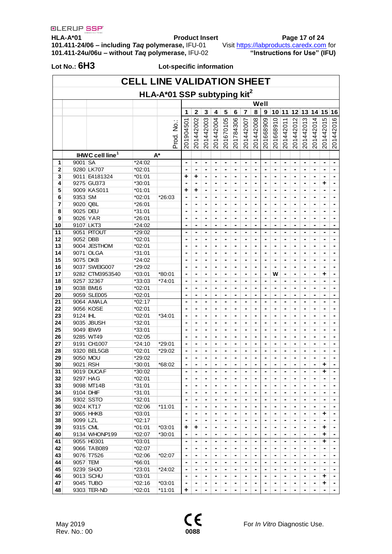**HLA-A\*01 Product Insert Page 17 of 24 101.411-24/06 – including** *Taq* **polymerase,** IFU-01 Visit [https://labproducts.caredx.com](https://labproducts.caredx.com/) for **101.411-24u/06u – without** *Taq* **polymerase,** IFU-02 **"Instructions for Use" (IFU)**

|          | <b>CELL LINE VALIDATION SHEET</b> |                             |                  |                                         |                |                                  |                     |                                  |                     |                          |                |                                  |                                  |                |                     |                     |                          |                     |                                                |                                  |
|----------|-----------------------------------|-----------------------------|------------------|-----------------------------------------|----------------|----------------------------------|---------------------|----------------------------------|---------------------|--------------------------|----------------|----------------------------------|----------------------------------|----------------|---------------------|---------------------|--------------------------|---------------------|------------------------------------------------|----------------------------------|
|          |                                   |                             |                  | HLA-A*01 SSP subtyping kit <sup>2</sup> |                |                                  |                     |                                  |                     |                          |                |                                  |                                  |                |                     |                     |                          |                     |                                                |                                  |
|          |                                   |                             |                  |                                         |                |                                  |                     |                                  |                     |                          |                |                                  | Well                             |                |                     |                     |                          |                     |                                                |                                  |
|          |                                   |                             |                  |                                         | 1              | $\overline{2}$                   | 3                   | 4                                | 5                   | 6                        | 7              | 8                                | 9                                | 10             | 11                  |                     | 12 13                    | 14 15               |                                                | 16                               |
|          |                                   |                             |                  |                                         |                |                                  |                     |                                  |                     |                          |                |                                  |                                  |                |                     |                     |                          |                     | Ю                                              |                                  |
|          |                                   |                             |                  | Prod. No.:                              | 201904501      | 201442002                        | 201442003           | 201442004                        | 201670105           | 201784306                | 201442007      | 201442008                        | 201668909                        | 201668910      | 201442011           | 201442012           | 201442013                | 201442014           | 20144201                                       | 201442016                        |
|          |                                   |                             |                  |                                         |                |                                  |                     |                                  |                     |                          |                |                                  |                                  |                |                     |                     |                          |                     |                                                |                                  |
|          |                                   |                             |                  |                                         |                |                                  |                     |                                  |                     |                          |                |                                  |                                  |                |                     |                     |                          |                     |                                                |                                  |
|          |                                   |                             |                  |                                         |                |                                  |                     |                                  |                     |                          |                |                                  |                                  |                |                     |                     |                          |                     |                                                |                                  |
|          |                                   | IHWC cell line <sup>1</sup> |                  | $A^*$                                   |                |                                  |                     |                                  |                     |                          |                |                                  |                                  |                |                     |                     |                          |                     |                                                |                                  |
| 1<br>2   | 9001 SA                           | 9280 LK707                  | *24:02<br>*02:01 |                                         | ٠<br>٠         | $\blacksquare$<br>$\blacksquare$ | $\blacksquare$<br>۰ | $\blacksquare$<br>$\blacksquare$ | $\blacksquare$<br>- | ۰<br>-                   | ۰<br>۰         | $\blacksquare$<br>$\blacksquare$ | $\blacksquare$<br>$\blacksquare$ | ٠<br>۰         | $\blacksquare$<br>۰ | $\blacksquare$<br>۰ | ۰<br>-                   | $\blacksquare$<br>۰ | $\blacksquare$<br>$\qquad \qquad \blacksquare$ | $\blacksquare$<br>$\blacksquare$ |
| 3        |                                   | 9011 E4181324               | $*01:01$         |                                         | +              | ٠                                |                     | ۰                                |                     | ۰                        |                | ٠                                |                                  | ۰              | ۰                   | -                   |                          | ٠                   |                                                |                                  |
| 4        |                                   | 9275 GU373                  | *30:01           |                                         |                | $\blacksquare$                   |                     | ٠                                | -                   | ٠                        | ۰              | $\blacksquare$                   |                                  | ٠              | ٠                   | ۰                   | ٠                        | ٠                   | ٠                                              | ٠                                |
| 5        |                                   | 9009 KAS011                 | $*01:01$         |                                         | ٠              | ٠                                | ۰                   | ٠                                | -                   | $\blacksquare$           | ۰              | $\blacksquare$                   | ٠                                | ۰              | ٠                   | ۰                   | ۰                        | ۰                   | ٠                                              | $\blacksquare$                   |
| 6        | 9353 SM                           |                             | *02:01           | $*26:03$                                | ٠              | $\blacksquare$                   | ۰                   | $\blacksquare$                   | -                   | ۰                        | -              | $\blacksquare$                   | $\blacksquare$                   | -              | $\blacksquare$      | ۰                   | ۰                        | ٠                   | $\blacksquare$                                 |                                  |
| 7        | 9020 QBL                          |                             | *26:01           |                                         |                | ۰                                |                     | ۰                                |                     | ۰                        | -              | ٠                                | ٠                                | ٠              | ۰                   | ۰                   | ٠                        | ٠                   | ٠                                              |                                  |
| 8        | 9025 DEU                          |                             | *31:01           |                                         | ٠              | $\blacksquare$                   | $\blacksquare$      | $\blacksquare$                   | ٠                   | $\overline{\phantom{0}}$ | ۰              | $\blacksquare$                   | $\blacksquare$                   | ٠              | $\blacksquare$      | $\blacksquare$      | $\overline{\phantom{0}}$ | ۰                   | $\blacksquare$                                 | ٠                                |
| 9        |                                   | 9026 YAR                    | *26:01           |                                         |                | $\blacksquare$                   | ٠                   | $\blacksquare$                   | ٠                   | ۰                        | -              | ٠                                |                                  | ٠              | $\blacksquare$      | $\blacksquare$      | ۰                        | ٠                   | ٠                                              | ٠                                |
| 10       |                                   | 9107 LKT3                   | *24:02           |                                         | ٠              | $\blacksquare$                   | $\blacksquare$      | $\blacksquare$                   | ۰                   | $\overline{\phantom{a}}$ | $\blacksquare$ | $\blacksquare$                   | $\blacksquare$                   | $\blacksquare$ | $\blacksquare$      | $\blacksquare$      | $\overline{\phantom{a}}$ | $\blacksquare$      | $\blacksquare$                                 | $\blacksquare$                   |
| 11       |                                   | 9051 PITOUT                 | *29:02           |                                         | ٠              | $\blacksquare$                   | ٠                   | $\blacksquare$                   | ٠                   | ٠                        | ٠              | ٠                                | ٠                                | ٠              | $\blacksquare$      | ٠                   | ٠                        | ٠                   | $\blacksquare$                                 | ٠                                |
| 12       | 9052 DBB                          |                             | $*02:01$         |                                         |                | ۰                                | ۰                   | $\blacksquare$                   |                     | ۰                        | -              | $\blacksquare$                   |                                  | ۰              | $\blacksquare$      | ۰                   |                          | ۰                   | ٠                                              | ٠                                |
| 13       |                                   | 9004 JESTHOM                | *02:01           |                                         |                | ٠                                |                     | ٠                                |                     | ۰                        |                |                                  |                                  |                |                     |                     |                          |                     | ٠                                              | ٠                                |
| 14       |                                   | 9071 OLGA                   | *31:01           |                                         | ٠              | $\blacksquare$                   | ٠                   | $\blacksquare$                   | ۰                   | ۰                        |                | $\blacksquare$                   | $\blacksquare$                   | ۰              | ۰                   | -                   |                          | ٠                   |                                                |                                  |
| 15       | 9075 DKB                          |                             | *24:02           |                                         | ٠              | $\blacksquare$                   | ٠                   | ٠                                |                     | -                        | ۰              | $\blacksquare$                   | $\blacksquare$                   | ۰              | $\blacksquare$      | ٠                   | -                        | ۰                   | $\blacksquare$                                 | ٠                                |
| 16       |                                   | 9037 SWEIG007               | *29:02           |                                         |                | $\blacksquare$                   |                     | $\blacksquare$                   |                     |                          | -              | $\blacksquare$                   |                                  |                | $\blacksquare$      | -                   | ۰                        | ۰                   | ٠                                              |                                  |
| 17       |                                   | 9282 CTM3953540             | $*03:01$         | *80:01                                  |                | $\blacksquare$                   | ٠                   | $\blacksquare$                   |                     | -                        | ۰              | $\blacksquare$                   |                                  | w              | ٠                   | ٠                   | -                        | ۰                   | ٠                                              | ٠                                |
| 18       |                                   | 9257 32367                  | *33:03           | $*74:01$                                | ٠              | $\blacksquare$                   | ٠                   | ۰                                | ۰                   | ۰                        | -              | $\blacksquare$                   |                                  |                | ۰                   | ٠                   | ۰                        | ۰                   | ٠                                              | ٠                                |
| 19       |                                   | 9038 BM16                   | *02:01           |                                         | ٠              | $\blacksquare$                   | ۰                   | $\blacksquare$                   | -                   | ۰                        | ۰              | $\blacksquare$                   | $\blacksquare$                   | ٠              | $\blacksquare$      | ٠                   | ۰                        | -                   | ٠                                              | $\blacksquare$                   |
| 20       |                                   | 9059 SLE005                 | *02:01           |                                         |                | ٠                                |                     | ٠                                |                     | -                        | -              | ٠                                | ٠                                | ۰              | ٠                   | -                   | ۰                        | ٠                   | ٠                                              | ۰                                |
| 21       |                                   | 9064 AMALA                  | $*02:17$         |                                         | ٠              | $\blacksquare$                   | ٠                   | $\blacksquare$                   | ٠                   | $\overline{\phantom{a}}$ | ۰              | $\blacksquare$                   | $\blacksquare$                   | ٠              | ٠                   | ٠                   | ٠                        | ٠                   | $\blacksquare$                                 | $\blacksquare$                   |
| 22       |                                   | 9056 KOSE                   | *02:01           |                                         |                | $\blacksquare$                   | $\blacksquare$      | ٠                                | ٠                   | ٠                        | -              | ٠                                |                                  | ٠              | ٠                   | ٠                   | $\blacksquare$           | ٠                   | ٠                                              | ٠                                |
| 23       | 9124 IHL                          |                             | *02:01           | $*34:01$                                | ٠              | $\blacksquare$                   | ٠                   | $\blacksquare$                   | $\blacksquare$      | ٠                        | $\blacksquare$ | $\blacksquare$                   | $\blacksquare$                   | ٠              | $\blacksquare$      | ٠                   | $\overline{\phantom{a}}$ | $\blacksquare$      | $\blacksquare$                                 | $\blacksquare$                   |
| 24       |                                   | 9035 JBUSH                  | *32:01           |                                         |                | ٠                                | ۰                   | ٠                                | ۰                   | ٠                        | ٠              | ٠                                | ٠                                | ٠              | ٠                   | ٠                   | ٠                        | ٠                   | ٠                                              | ٠                                |
| 25       |                                   | 9049 IBW9                   | *33:01           |                                         | ٠              | $\blacksquare$                   | $\blacksquare$      | $\blacksquare$                   | ۰                   | ٠                        | ٠              | $\blacksquare$                   | $\blacksquare$                   | ٠              | $\blacksquare$      | $\blacksquare$      | ٠                        | ۰                   | $\blacksquare$                                 | $\blacksquare$                   |
| 26       |                                   | 9285 WT49                   | *02:05           |                                         |                | ۰                                |                     | $\blacksquare$                   |                     | ۰                        |                | ٠                                |                                  | ۰              | ۰                   |                     |                          |                     | ٠                                              | -                                |
| 27       |                                   | 9191 CH1007                 | *24:10           | *29:01                                  | ٠              | $\blacksquare$                   | ۰                   | $\blacksquare$                   | -                   | ۰                        | ۰              | $\blacksquare$                   | $\blacksquare$                   | ۰              | ۰                   | -                   | -                        | ٠                   |                                                | $\blacksquare$                   |
| 28       |                                   | 9320 BEL5GB                 | *02:01           | *29:02                                  |                |                                  |                     |                                  |                     |                          |                |                                  |                                  |                | -                   |                     |                          |                     | $\blacksquare$                                 |                                  |
| 29       |                                   | 9050 MOU                    | *29:02           |                                         |                | ۰                                |                     | $\blacksquare$                   |                     | ۰                        | ۰              | ٠                                |                                  | ۰              | ۰                   |                     | ۰                        |                     |                                                |                                  |
| 30       | 9021 RSH                          |                             | *30:01           | *68:02                                  | -              | -                                | ٠                   | -                                | -                   | -                        | -              | $\blacksquare$                   |                                  | ٠              | -                   | -                   | -                        | ۰                   | ٠<br>÷                                         |                                  |
| 31<br>32 |                                   | 9019 DUCAF                  | $*30:02$         |                                         | Ξ.             | $\blacksquare$                   | ۰                   | $\blacksquare$                   | ٠                   | $\blacksquare$           | ۰.             | $\blacksquare$                   | ۰                                | ۰              | $\blacksquare$      | $\blacksquare$      | $\blacksquare$           | $\blacksquare$      |                                                | $\blacksquare$                   |
|          |                                   | 9297 HAG<br>9098 MT14B      | *02:01<br>*31:01 |                                         | $\blacksquare$ | ۰                                | ۰                   | $\blacksquare$                   | $\blacksquare$      | $\blacksquare$           | $\blacksquare$ | $\blacksquare$                   | $\blacksquare$                   | $\blacksquare$ | $\blacksquare$      | $\blacksquare$      | $\blacksquare$           | ٠                   | $\blacksquare$                                 | $\blacksquare$                   |
| 33<br>34 | 9104 DHIF                         |                             | *31:01           |                                         | ٠              | $\blacksquare$<br>٠              |                     | ٠<br>$\blacksquare$              | ۰                   | ٠<br>٠                   | -              | ٠<br>٠                           |                                  | -<br>۰         | ۰<br>٠              | ۰<br>۰              | ٠<br>٠                   |                     | ٠<br>٠                                         |                                  |
| 35       |                                   | 9302 SSTO                   | *32:01           |                                         | ٠              | $\blacksquare$                   | ۰                   | $\blacksquare$                   | $\blacksquare$      | $\blacksquare$           | ۰              | $\blacksquare$                   | $\blacksquare$                   | ۰              | ٠                   | ٠                   | ٠                        | ٠                   | $\blacksquare$                                 | ٠                                |
| 36       |                                   | 9024 KT17                   | *02:06           | $*11:01$                                | ٠              | $\blacksquare$                   | -                   | $\blacksquare$                   | ۰                   | ٠                        | $\blacksquare$ | $\blacksquare$                   | ۰                                | -              | $\blacksquare$      | $\blacksquare$      | $\blacksquare$           | -                   | $\blacksquare$                                 | $\blacksquare$                   |
| 37       |                                   | 9065 HHKB                   | *03:01           |                                         | ٠              | $\blacksquare$                   | -                   | $\blacksquare$                   | ٠                   | ۰                        | ٠              | ٠                                | ٠                                | ۰              | $\blacksquare$      | $\blacksquare$      | $\blacksquare$           | ٠                   | ٠                                              |                                  |
| 38       | 9099 LZL                          |                             | $*02:17$         |                                         | $\blacksquare$ | $\blacksquare$                   | $\blacksquare$      | $\blacksquare$                   | $\blacksquare$      | $\overline{\phantom{a}}$ | $\blacksquare$ | $\blacksquare$                   | $\blacksquare$                   | ٠              | $\blacksquare$      | ٠                   | $\overline{\phantom{a}}$ | ۰                   | $\blacksquare$                                 |                                  |
| 39       | 9315 CML                          |                             | *01:01           | $*03:01$                                | ٠              | ٠                                | ٠                   | $\blacksquare$                   | $\blacksquare$      | $\blacksquare$           | ۰              | ٠                                | ٠                                | ٠              | $\blacksquare$      | $\blacksquare$      | $\blacksquare$           | $\blacksquare$      | ٠                                              | $\blacksquare$                   |
| 40       |                                   | 9134 WHONP199               | *02:07           | $*30:01$                                | $\blacksquare$ | $\blacksquare$                   | $\blacksquare$      | $\blacksquare$                   | $\blacksquare$      | $\blacksquare$           | $\blacksquare$ | $\blacksquare$                   | $\blacksquare$                   | $\blacksquare$ | $\blacksquare$      | ٠                   | $\blacksquare$           | $\blacksquare$      | ٠                                              |                                  |
| 41       |                                   | 9055 H0301                  | $*03:01$         |                                         |                | $\blacksquare$                   | ۰                   | $\blacksquare$                   | $\blacksquare$      | $\blacksquare$           | -              | $\blacksquare$                   | $\qquad \qquad \blacksquare$     | ٠              | $\blacksquare$      | $\blacksquare$      | $\blacksquare$           | ٠                   | ٠                                              |                                  |
| 42       |                                   | 9066 TAB089                 | $*02:07$         |                                         |                | ٠                                |                     | ٠                                |                     | ٠                        | ۰              | $\blacksquare$                   |                                  | ۰              | $\blacksquare$      | ۰                   |                          |                     | ٠                                              |                                  |
| 43       |                                   | 9076 T7526                  | *02:06           | $*02:07$                                | ٠              | -                                |                     | $\blacksquare$                   |                     | ٠                        |                |                                  |                                  |                | -                   |                     |                          |                     | $\blacksquare$                                 |                                  |
| 44       | 9057 TEM                          |                             | *66:01           |                                         | $\blacksquare$ | ۰                                | -                   | ۰                                | ۰                   | $\blacksquare$           | ۰              | $\blacksquare$                   | $\blacksquare$                   | ۰              | ۰                   | -                   | $\blacksquare$           |                     | $\blacksquare$                                 | $\blacksquare$                   |
| 45       |                                   | 9239 SHJO                   | *23:01           | *24:02                                  | $\blacksquare$ | $\blacksquare$                   | ۰                   | $\blacksquare$                   | ۰                   | $\blacksquare$           | $\blacksquare$ | $\blacksquare$                   | ۰                                | -              | $\blacksquare$      | -                   | $\blacksquare$           | -                   | $\blacksquare$                                 |                                  |
| 46       |                                   | 9013 SCHU                   | $*03:01$         |                                         | ٠              | $\blacksquare$                   | ۰                   | $\blacksquare$                   |                     | -                        | $\blacksquare$ | $\blacksquare$                   |                                  | ۰              | $\blacksquare$      | ۰                   | -                        | ۰                   | ٠                                              |                                  |
| 47       |                                   | 9045 TUBO                   | $*02:16$         | *03:01                                  | $\blacksquare$ | $\blacksquare$                   | ۰                   | $\blacksquare$                   | ۰                   | -                        | ۰              |                                  |                                  | ٠              | ۰                   | -                   | -                        |                     | ۰                                              | ٠                                |
| 48       |                                   | 9303 TER-ND                 | $*02:01$         | $*11:01$                                | ٠              | ۰                                | ۰                   | ۰                                | -                   | $\blacksquare$           | ۰              | $\blacksquare$                   | ۰                                | ۰              | ۰                   | -                   | $\blacksquare$           | -                   | $\blacksquare$                                 | $\blacksquare$                   |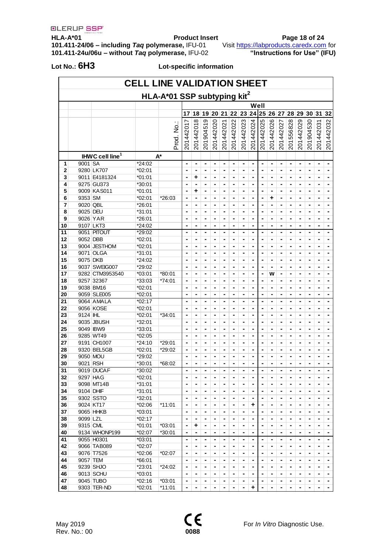**HLA-A\*01 Product Insert Page 18 of 24 101.411-24/06 – including** *Taq* **polymerase,** IFU-01 Visit [https://labproducts.caredx.com](https://labproducts.caredx.com/) for **101.411-24u/06u – without** *Taq* **polymerase,** IFU-02 **"Instructions for Use" (IFU)**

| <b>CELL LINE VALIDATION SHEET</b> |                                         |                             |                    |           |                |                |                              |                              |           |                |                |                |           |                |                              |                     |                |                |                |                |
|-----------------------------------|-----------------------------------------|-----------------------------|--------------------|-----------|----------------|----------------|------------------------------|------------------------------|-----------|----------------|----------------|----------------|-----------|----------------|------------------------------|---------------------|----------------|----------------|----------------|----------------|
|                                   | HLA-A*01 SSP subtyping kit <sup>2</sup> |                             |                    |           |                |                |                              |                              |           |                |                |                |           |                |                              |                     |                |                |                |                |
|                                   |                                         |                             |                    |           |                |                |                              |                              |           |                |                |                | Well      |                |                              |                     |                |                |                |                |
|                                   |                                         |                             |                    |           | 17             | 18             | 19                           | 20 <sup>1</sup>              | 21        | 22             | 23             |                | 24 25     | 26 27          |                              |                     | 28 29          | 30 31          |                | 32             |
|                                   |                                         |                             |                    |           |                |                | တ                            |                              |           |                |                |                |           |                |                              |                     |                |                |                |                |
|                                   |                                         |                             |                    |           | 20144201       | 201442018      | 20190451                     | 201442020                    | 201442021 | 201442022      | 201442023      | 201442024      | 201442025 | 201442026      | 201442027                    | 201556828           | 201442029      | 201904530      | 201442031      | 201442032      |
|                                   |                                         |                             |                    |           |                |                |                              |                              |           |                |                |                |           |                |                              |                     |                |                |                |                |
|                                   |                                         |                             |                    | Prod. No. |                |                |                              |                              |           |                |                |                |           |                |                              |                     |                |                |                |                |
|                                   |                                         |                             |                    |           |                |                |                              |                              |           |                |                |                |           |                |                              |                     |                |                |                |                |
|                                   |                                         | IHWC cell line <sup>1</sup> |                    | A*        |                |                |                              |                              |           |                |                |                |           |                |                              |                     |                |                |                |                |
| 1                                 | 9001 SA                                 |                             | *24:02             |           | ٠              | ٠              | $\blacksquare$               | ۰                            | ۰         | ۰              | $\blacksquare$ | $\blacksquare$ | ۰         | ۰              |                              | $\blacksquare$      | $\blacksquare$ | $\blacksquare$ | ۰              | $\blacksquare$ |
| $\overline{2}$                    |                                         | 9280 LK707                  | *02:01             |           |                |                |                              | -                            |           |                |                | ٠              |           |                | -                            |                     |                |                |                |                |
| 3                                 |                                         | 9011 E4181324               | $*01:01$           |           |                | ٠              | -                            | -                            | ۰         | ۰              | ۰              | ۰              | -         | ۰              | -                            | ٠                   | ٠              |                | ٠              | ٠              |
| 4                                 |                                         | 9275 GU373                  | *30:01             |           |                |                |                              | -                            |           | ۰              |                | ٠              |           |                | -                            |                     | ۰              |                | ۰              | ۰              |
| 5                                 |                                         | 9009 KAS011                 | $*01:01$           |           | ۰              | ٠              |                              | ۰                            | ۰         |                | ۰              | ٠              | ۰         | -              |                              | $\blacksquare$      | $\blacksquare$ | ٠              | ۰              | ٠              |
| 6                                 | 9353 SM                                 |                             | *02:01             | $*26:03$  |                |                |                              | -                            |           |                |                | ٠              |           | ٠              | -                            |                     |                |                |                |                |
| 7                                 | 9020 QBL                                |                             | *26:01             |           |                | ٠              | -                            | -                            | ۰         | ۰              | ۰              | ٠              |           |                | ۰                            | ٠                   | ٠              |                | ۰              | ۰              |
| 8                                 | 9025 DEU                                |                             | $*31:01$           |           |                | -              |                              | -                            |           | ۰              | -              | ٠              |           |                | -                            |                     | ۰              |                | ٠              | ۰              |
| 9                                 | 9026 YAR                                |                             | *26:01             |           |                | ۰              |                              | ۰                            | ۰         |                | ۰              | ۰              | ۰         | -              |                              | $\blacksquare$      | $\blacksquare$ | ٠              | ٠              | ٠              |
| 10                                | 9107 LKT3                               |                             | *24:02             |           |                |                |                              |                              |           |                |                |                |           |                | -                            |                     |                |                |                |                |
| 11                                |                                         | 9051 PITOUT                 | *29:02             |           |                | ۰              | ٠                            | ٠                            | ۰         | ۰              | ۰              | ٠              | ۰         | -              | -                            | ٠                   | $\blacksquare$ | ٠              | ٠              | ٠              |
| 12                                | 9052 DBB                                |                             | *02:01             |           |                |                |                              | -                            |           | ٠              |                | ٠              |           |                | ۰                            |                     | ۰              |                | ٠              | ۰              |
| 13                                |                                         | 9004 JESTHOM                | *02:01             |           | $\blacksquare$ | ٠              | $\blacksquare$               | $\blacksquare$               | ۰         | $\blacksquare$ | $\blacksquare$ | $\blacksquare$ | ٠         | ٠              | $\qquad \qquad \blacksquare$ | $\blacksquare$      | ٠              | $\blacksquare$ | ٠              | ٠              |
| 14                                |                                         | 9071 OLGA                   | *31:01             |           |                | ٠              | ٠                            | ٠                            | ٠         | ٠              | ٠              | ٠              | ٠         | ٠              | ٠                            | ٠                   | ٠              |                | ٠              | ۰              |
| 15                                | 9075 DKB                                |                             | *24:02             |           |                | ٠              | ٠                            | ٠                            | ۰         | ۰              | ٠              | $\blacksquare$ | ٠         | ٠              | ٠                            | $\blacksquare$      | ٠              | ٠              | ٠              | ٠              |
| 16                                |                                         | 9037 SWEIG007               | *29:02             |           |                | ٠              | ٠                            | ٠                            | ٠         | ٠              | ٠              | $\blacksquare$ | ۰         | ٠              | ۰                            | ٠                   | ٠              | ٠              | ٠              | ٠              |
| 17                                |                                         | 9282 CTM3953540             | $*03:01$           | *80:01    | ٠              | ٠              | $\blacksquare$               | $\blacksquare$               | ۰         | $\blacksquare$ | $\blacksquare$ | $\blacksquare$ | ٠         | w              | $\qquad \qquad \blacksquare$ | $\blacksquare$      | ۰              | $\blacksquare$ | ٠              | ٠              |
| 18                                |                                         | 9257 32367                  | *33:03             | *74:01    | ٠              | ٠              | ٠                            | ٠                            | ٠         | ٠              | ٠              | ٠              | ٠         |                | ۰                            | ٠                   | ٠              | ٠              | ٠              | ۰              |
| 19                                |                                         | 9038 BM16                   | *02:01             |           |                | ٠              | ٠                            | ٠                            | ۰         | ۰              | $\blacksquare$ | ٠              | ٠         | ٠              | ٠                            | $\blacksquare$      | ۰              | ٠              | ٠              | ٠              |
| 20                                |                                         | 9059 SLE005                 | *02:01             |           |                | ٠              |                              | ٠                            | ٠         | ٠              | ٠              | ٠              | ٠         | ۰              | ۰                            | ٠                   | ٠              | ٠              | ٠              | ٠              |
| 21                                |                                         | 9064 AMALA                  | $*02:17$           |           | $\blacksquare$ | $\blacksquare$ | $\blacksquare$               | $\blacksquare$               | ۰         | -              | $\blacksquare$ | $\blacksquare$ | ٠         | ٠              | ۰                            | $\blacksquare$      | ۰              | $\blacksquare$ | ٠              | ٠              |
| 22                                |                                         | 9056 KOSE                   | *02:01             |           |                | ٠              | ٠                            | ٠                            | ٠         | ٠              | ٠              | ٠              | ٠         | ٠              |                              | ٠                   | ٠              | ٠              | ٠              | ۰              |
| 23                                | 9124 IHL                                |                             | *02:01             | *34:01    |                | ٠              | ٠                            | ٠                            | ۰         | ۰              | $\blacksquare$ | $\blacksquare$ | ٠         | ٠              | ٠                            | $\blacksquare$      | ۰              | ٠              | ٠              | ٠              |
| 24                                |                                         | 9035 JBUSH                  | *32:01             |           |                | ٠              | ٠                            | ٠                            | ٠         | ۰              | $\blacksquare$ | $\blacksquare$ | ٠         | ٠              | -                            | ٠                   | ۰              | ٠              | ٠              | ٠              |
| 25                                |                                         | 9049 IBW9                   | *33:01             |           | ٠              | ٠              | $\blacksquare$               | $\blacksquare$               | ۰         | $\blacksquare$ | $\blacksquare$ | $\blacksquare$ | ٠         | ٠              | ۰                            | $\blacksquare$      | ۰              | $\blacksquare$ | ٠              | ٠              |
| 26                                |                                         | 9285 WT49                   | *02:05             |           | ٠              | ٠              | ٠                            | ٠                            | ٠         | ٠              | ٠              | ٠              | ٠         | ٠              | -                            | ٠                   | ۰              | ٠              | ٠              | ۰              |
| 27                                |                                         | 9191 CH1007                 | *24:10             | *29:01    | $\blacksquare$ | ٠              | $\blacksquare$               | $\blacksquare$               | ٠         | ٠              | $\blacksquare$ | ٠              | ٠         | ٠              | ٠                            | $\blacksquare$      | $\blacksquare$ | ٠              | ٠              | ٠              |
| 28                                |                                         | 9320 BEL5GB                 | *02:01             | *29:02    | ٠              | ٠              | $\blacksquare$               | ٠                            | ۰         | ۰              | $\blacksquare$ | $\blacksquare$ | ٠         | ٠              | -                            | $\blacksquare$      | ۰              | ٠              | ٠              | ٠              |
| 29                                | 9050 MOU                                |                             | *29:02             |           | $\blacksquare$ | $\blacksquare$ | ٠                            | ٠                            | ۰         | ٠              | ٠              | ٠              | ٠         | ۰              | ٠                            | ٠                   | ٠              | ٠              | ٠              | ٠              |
| 30                                | 9021 RSH                                |                             | *30:01             | *68:02    | ٠              |                |                              | ٠                            | ۰         | ۰              | ۰              |                | ٠         | ٠              | -                            | ٠                   | ٠              | ٠              | ٠              | -              |
| $\overline{31}$                   |                                         | 9019 DUCAF                  | $*30:02$           |           |                |                |                              |                              |           |                |                |                |           |                |                              |                     |                |                |                |                |
| 32                                | 9297 HAG                                |                             | $*02:01$           |           | ٠              | ٠              | ٠                            | ٠                            | ٠         | ٠              | ٠              | $\blacksquare$ | ٠         | ٠              | -                            | $\blacksquare$      | $\blacksquare$ | ٠              | ٠              | ٠              |
| 33                                |                                         | 9098 MT14B                  | *31:01             |           | $\blacksquare$ | $\blacksquare$ | $\qquad \qquad \blacksquare$ | ٠                            | -         | -              | $\blacksquare$ | Ξ              | ٠         | $\blacksquare$ | $\qquad \qquad \blacksquare$ | $\blacksquare$      | ٠              | ۰              | ٠              | ٠              |
| 34                                | 9104 DHIF                               |                             | *31:01             |           | ٠              | ٠              | ٠                            | ٠                            | ٠         | ٠              | ٠              | ٠              | ٠         |                | ٠                            | ٠                   | ٠              |                | ٠              | ٠              |
| 35                                |                                         | 9302 SSTO                   | *32:01             |           | ٠              | ٠              | ٠                            | ٠                            | ۰         | ۰              | $\blacksquare$ | ٠              | ٠         | ٠              | ٠                            | $\blacksquare$      | ۰              | ٠              | ٠              | ٠              |
| 36                                |                                         | 9024 KT17                   | $*02:06$           | $*11:01$  |                | $\blacksquare$ |                              | ٠                            | ٠         | ٠              | ۰              | ٠              | ٠         |                | -                            | $\blacksquare$      | ۰              |                | ٠              | ٠              |
| 37                                |                                         | 9065 HHKB                   | *03:01             |           | ٠<br>٠         | $\blacksquare$ | ٠<br>$\blacksquare$          | $\blacksquare$               | -         | ۰              | $\blacksquare$ | $\blacksquare$ | ٠         | ٠<br>٠         | $\qquad \qquad \blacksquare$ | $\blacksquare$      | ٠              | $\blacksquare$ | ٠              | ٠              |
| 38                                | 9099 LZL                                |                             | $*02:17$           |           | ٠              |                |                              | ٠                            | ٠         | ٠              |                |                |           |                | -                            |                     | ۰              |                | ٠              | -              |
| 39                                | 9315 CML                                |                             |                    |           | ٠              | ٠              | ٠<br>٠                       | $\blacksquare$               | ۰         | ۰              | ٠<br>۰         | ٠<br>٠         | ٠<br>٠    | ٠<br>۰         | ۰                            | ٠<br>$\blacksquare$ | ۰              | ٠              | ٠              | ٠              |
| 40                                |                                         | 9134 WHONP199               | *01:01<br>$*02:07$ | $*03:01$  | ۰              | ٠<br>٠         | -                            |                              |           | ۰              | ۰              | ٠              | ٠         | ۰              |                              |                     | ۰              |                |                |                |
| 41                                |                                         | 9055 H0301                  | $*03:01$           | *30:01    | ۰              |                |                              | $\blacksquare$               | ٠<br>۰    |                | ٠              |                | -         |                |                              | $\blacksquare$      | ٠              |                | -              | -              |
|                                   |                                         | 9066 TAB089                 | $*02:07$           |           | ۰              | ٠<br>۰         | ٠                            | ٠                            |           | ٠              |                | ٠              |           |                | ٠                            | ٠                   |                | ٠              | ٠              | ٠              |
| 42                                |                                         |                             |                    |           |                |                |                              | ٠                            | ٠         | ٠              | ٠              | ٠              | ٠         | ٠              |                              | ٠                   | ٠              |                | ۰              | ۰              |
| 43                                |                                         | 9076 T7526                  | *02:06             | *02:07    | ۰              | ۰              |                              | ۰                            | ۰         | ۰              | ٠              | ٠              | ٠         | ٠              |                              | ٠                   | ۰              | ٠              | ۰              | ۰              |
| 44                                | 9057 TEM                                |                             | *66:01             |           | ۰              | ۰              | ٠                            | $\qquad \qquad \blacksquare$ | ۰         | ۰              | ۰              | ٠              | ٠         | ٠              | -                            | ٠                   | ۰              | ٠              | ٠              | ۰              |
| 45                                |                                         | 9239 SHJO                   | *23:01             | $*24:02$  | ٠              | ۰              | $\qquad \qquad \blacksquare$ | $\qquad \qquad \blacksquare$ | -         | -              | ۰              | ٠              | -         | $\blacksquare$ | $\qquad \qquad \blacksquare$ | ٠                   | ۰              | ٠              | ٠              | ٠              |
| 46                                |                                         | 9013 SCHU                   | *03:01             |           | ٠              | ۰              |                              | ٠                            | ٠         | ۰              | ۰              | ٠              | ٠         | ٠              |                              | ٠                   | ۰              |                | ٠              | ۰              |
| 47                                |                                         | 9045 TUBO                   | $*02:16$           | $*03:01$  | ۰              | ٠              | ۰                            | ٠                            | ۰         | ٠              | ۰              | ٠              | -         | ٠              | -                            | ٠                   | ٠              | ٠              | ٠              | ۰              |
| 48                                |                                         | 9303 TER-ND                 | *02:01             | $*11:01$  | ۰              | ۰              | -                            | ۰                            | ۰         | ۰              |                | ٠              | -         | -              |                              | $\blacksquare$      | $\blacksquare$ | ٠              | $\blacksquare$ | ۰              |

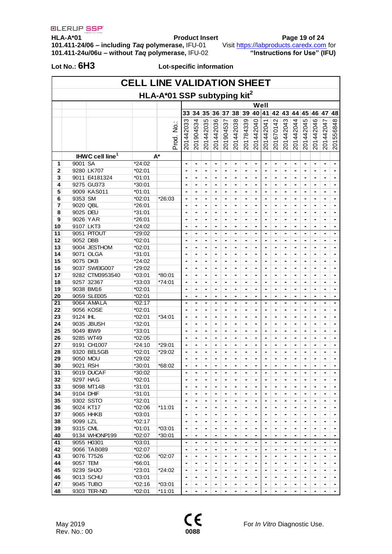$\overline{\mathbf{1}}$ 

**HLA-A\*01 Product Insert Page 19 of 24 101.411-24/06 – including** *Taq* **polymerase,** IFU-01 Visit [https://labproducts.caredx.com](https://labproducts.caredx.com/) for **101.411-24u/06u – without** *Taq* **polymerase,** IFU-02 **"Instructions for Use" (IFU)**

 $\mathsf{r}$ 

**Lot No.: 6H3 Lot-specific information**

| <b>CELL LINE VALIDATION SHEET</b> |                                         |                             |                    |           |                     |                     |                                  |                                  |                                            |                                            |                              |                                  |                     |                              |                                  |                                  |                              |                |                                   |                |
|-----------------------------------|-----------------------------------------|-----------------------------|--------------------|-----------|---------------------|---------------------|----------------------------------|----------------------------------|--------------------------------------------|--------------------------------------------|------------------------------|----------------------------------|---------------------|------------------------------|----------------------------------|----------------------------------|------------------------------|----------------|-----------------------------------|----------------|
|                                   | HLA-A*01 SSP subtyping kit <sup>2</sup> |                             |                    |           |                     |                     |                                  |                                  |                                            |                                            |                              |                                  |                     |                              |                                  |                                  |                              |                |                                   |                |
|                                   |                                         |                             |                    |           |                     |                     |                                  |                                  |                                            |                                            |                              |                                  | Well                |                              |                                  |                                  |                              |                |                                   |                |
|                                   |                                         |                             |                    |           | 33                  | 34                  | 35                               | 36                               | 37                                         | 38                                         | 39                           | 40                               | 141                 | 42                           | 43                               | 44                               | 45                           | 46 47          |                                   | 48             |
|                                   |                                         |                             |                    |           |                     |                     |                                  |                                  |                                            |                                            |                              |                                  |                     |                              |                                  |                                  |                              |                |                                   |                |
|                                   |                                         |                             |                    | Prod. No. | 201442033           | 201904534           | 201442035                        | 201442036                        | 201904537                                  | 201442038                                  | 201784339                    | 201442040                        | 201442041           | 201670142                    | 201442043                        | 201442044                        | 201442045                    | 201442046      | 201442047                         | 201556848      |
|                                   |                                         |                             |                    |           |                     |                     |                                  |                                  |                                            |                                            |                              |                                  |                     |                              |                                  |                                  |                              |                |                                   |                |
|                                   |                                         |                             |                    |           |                     |                     |                                  |                                  |                                            |                                            |                              |                                  |                     |                              |                                  |                                  |                              |                |                                   |                |
|                                   |                                         |                             |                    |           |                     |                     |                                  |                                  |                                            |                                            |                              |                                  |                     |                              |                                  |                                  |                              |                |                                   |                |
|                                   |                                         | IHWC cell line <sup>1</sup> |                    | $A^*$     |                     |                     |                                  |                                  |                                            |                                            |                              |                                  |                     |                              |                                  |                                  |                              |                |                                   |                |
| 1                                 | 9001 SA                                 |                             | *24:02             |           | ٠                   | $\blacksquare$      | $\blacksquare$                   | $\blacksquare$                   |                                            | $\blacksquare$                             | ٠                            | $\blacksquare$                   |                     | $\blacksquare$               | $\blacksquare$                   | $\blacksquare$                   | $\blacksquare$               | ۰              | $\blacksquare$                    | $\blacksquare$ |
| $\overline{2}$                    |                                         | 9280 LK707                  | *02:01             |           |                     | ٠                   | ٠                                | $\blacksquare$                   | $\blacksquare$                             | ۰                                          | -                            | $\blacksquare$                   |                     | $\blacksquare$               | ٠                                | $\blacksquare$                   | $\blacksquare$               | ٠              | $\blacksquare$                    | $\blacksquare$ |
| 3                                 |                                         | 9011 E4181324               | $*01:01$           |           |                     | ٠                   | $\blacksquare$                   | $\blacksquare$                   | $\blacksquare$                             | $\blacksquare$                             | ٠                            | $\blacksquare$                   | $\blacksquare$      | $\blacksquare$               | ٠                                | $\blacksquare$                   | $\blacksquare$               | ٠              | $\blacksquare$                    |                |
| 4                                 |                                         | 9275 GU373                  | *30:01             |           | ٠                   | ۰                   | ۰                                | ٠                                | ٠                                          | ۰                                          |                              | ٠                                | ۰                   | ۰                            | ۰                                | ۰                                | ۰                            | ٠              | ٠                                 | $\blacksquare$ |
| 5                                 |                                         | 9009 KAS011                 | *01:01             |           |                     | -                   |                                  | ٠                                | -                                          | -                                          |                              | ٠                                | ٠                   |                              |                                  | ٠                                |                              | ٠              | ٠                                 | ۰              |
| 6                                 | 9353 SM                                 |                             | *02:01             | *26:03    | ٠                   | ۰                   | -                                | ۰                                | $\blacksquare$                             | ۰                                          |                              | $\blacksquare$                   |                     | ۰                            | ٠                                | ٠                                | ۰                            | ٠              | ٠                                 | ٠              |
| 7                                 | 9020 QBL                                |                             | *26:01             |           |                     | ۰                   | ۰                                | ٠                                | ٠                                          | ۰                                          |                              | $\blacksquare$                   | ۰                   | $\blacksquare$               | ٠                                | ٠                                | ۰                            | ٠              | ٠                                 | $\blacksquare$ |
| 8                                 | 9025 DEU                                |                             | *31:01             |           | ٠                   | ٠                   | ٠                                | $\overline{\phantom{a}}$         | $\overline{\phantom{a}}$                   | $\blacksquare$                             | $\blacksquare$               | $\blacksquare$                   | $\blacksquare$      | $\blacksquare$               | $\blacksquare$                   | $\blacksquare$                   | $\blacksquare$               | ٠              | $\blacksquare$                    | $\blacksquare$ |
| 9                                 |                                         | 9026 YAR                    | *26:01             |           | ۰                   | $\blacksquare$      |                                  | ٠                                | $\blacksquare$                             | ٠                                          | ٠                            | ٠                                | ٠                   | ٠                            | ٠                                | ٠                                | ٠                            | ٠              | ٠                                 | ۰              |
| 10                                |                                         | 9107 LKT3<br>9051 PITOUT    | *24:02             |           | ٠                   | $\blacksquare$      | $\blacksquare$                   | $\overline{\phantom{a}}$         | $\blacksquare$                             | $\blacksquare$                             | ٠                            | $\blacksquare$                   | $\blacksquare$      | $\blacksquare$               | $\blacksquare$                   | $\blacksquare$                   | $\blacksquare$               | ٠              | $\blacksquare$                    | ٠              |
| 11<br>12                          | 9052 DBB                                |                             | *29:02<br>$*02:01$ |           | ٠<br>٠              | $\blacksquare$<br>۰ | $\blacksquare$<br>$\blacksquare$ | $\blacksquare$                   | $\overline{\phantom{a}}$<br>$\blacksquare$ | $\overline{\phantom{a}}$<br>$\blacksquare$ | ٠                            | $\blacksquare$                   | ٠<br>$\blacksquare$ | $\blacksquare$               | $\blacksquare$<br>٠              | $\blacksquare$                   | $\blacksquare$               | $\blacksquare$ | $\blacksquare$                    | $\blacksquare$ |
| 13                                |                                         | 9004 JESTHOM                | *02:01             |           |                     |                     |                                  | $\blacksquare$<br>۰              |                                            |                                            |                              | $\blacksquare$                   |                     |                              |                                  | $\qquad \qquad \blacksquare$     | -                            | ٠              | -<br>-                            | ۰              |
| 14                                |                                         | 9071 OLGA                   | *31:01             |           |                     |                     |                                  | $\blacksquare$                   |                                            | ۰                                          | -                            | ٠                                |                     | $\blacksquare$               | ٠                                | ٠                                |                              |                | -                                 | ۰              |
| 15                                | 9075 DKB                                |                             | $*24:02$           |           |                     |                     |                                  | $\blacksquare$                   |                                            | ۰                                          |                              | $\blacksquare$                   |                     |                              |                                  |                                  |                              |                | -                                 | ۰              |
| 16                                |                                         | 9037 SWEIG007               | *29:02             |           | ٠                   | ۰                   | $\blacksquare$                   | $\blacksquare$                   | $\blacksquare$                             | $\blacksquare$                             | $\blacksquare$               | $\blacksquare$                   | $\blacksquare$      | $\blacksquare$               | $\blacksquare$                   | $\blacksquare$                   | $\blacksquare$               | $\blacksquare$ | $\blacksquare$                    | $\blacksquare$ |
| 17                                |                                         | 9282 CTM3953540             | $*03:01$           | $*80:01$  | ٠                   | $\blacksquare$      | ۰                                | $\blacksquare$                   | ٠                                          | ۰                                          | $\blacksquare$               | $\blacksquare$                   | $\blacksquare$      | $\blacksquare$               | $\blacksquare$                   | $\blacksquare$                   | $\blacksquare$               | ٠              | $\qquad \qquad \blacksquare$      | ٠              |
| 18                                |                                         | 9257 32367                  | *33:03             | $*74:01$  | ٠                   | $\blacksquare$      |                                  | $\blacksquare$                   |                                            | ٠                                          | -                            | $\blacksquare$                   |                     | -                            | ٠                                | -                                | -                            | ٠              | ٠                                 | ۰              |
| 19                                |                                         | 9038 BM16                   | *02:01             |           | ٠                   | ۰                   | ۰                                | ٠                                | $\blacksquare$                             | ۰                                          |                              | $\blacksquare$                   |                     | $\blacksquare$               | $\blacksquare$                   | ٠                                | $\blacksquare$               | ٠              | $\blacksquare$                    | ٠              |
| 20                                |                                         | 9059 SLE005                 | *02:01             |           |                     | ٠                   | ٠                                | $\blacksquare$                   | ٠                                          | ٠                                          | -                            | ٠                                | $\blacksquare$      | $\blacksquare$               | ٠                                | $\blacksquare$                   | ٠                            | ٠              | $\blacksquare$                    | $\blacksquare$ |
| 21                                |                                         | 9064 AMALA                  | *02:17             |           | ٠                   | ۰                   | ۰                                | ٠                                | ٠                                          | ٠                                          | ٠                            | ٠                                | $\blacksquare$      | ٠                            | ٠                                | ٠                                | ٠                            | ٠              | $\blacksquare$                    | $\blacksquare$ |
| 22                                |                                         | 9056 KOSE                   | *02:01             |           |                     | -                   |                                  | ٠                                | -                                          | -                                          |                              | ٠                                | ٠                   | ٠                            | ٠                                | ٠                                | ٠                            | ٠              | ٠                                 |                |
| 23                                | 9124 IHL                                |                             | *02:01             | $*34:01$  | ٠                   | ۰                   | ۰                                | ۰                                | ٠                                          | ٠                                          | ٠                            | ٠                                | ٠                   | ٠                            | ٠                                | ٠                                | ٠                            | ٠              | ٠                                 | ٠              |
| 24                                |                                         | 9035 JBUSH                  | *32:01             |           |                     | $\blacksquare$      | $\blacksquare$                   | $\overline{\phantom{a}}$         | $\blacksquare$                             | $\blacksquare$                             | ٠                            | $\blacksquare$                   |                     | $\blacksquare$               | $\blacksquare$                   | $\blacksquare$                   | $\blacksquare$               | ٠              | $\blacksquare$                    | $\blacksquare$ |
| 25                                |                                         | 9049 IBW9                   | $*33:01$           |           | ٠                   | ٠                   | ٠                                | $\overline{\phantom{a}}$         | $\overline{\phantom{a}}$                   | $\blacksquare$                             | $\blacksquare$               | $\blacksquare$                   | $\blacksquare$      | $\blacksquare$               | $\blacksquare$                   | $\blacksquare$                   | $\blacksquare$               | $\blacksquare$ | $\blacksquare$                    | $\blacksquare$ |
| 26                                |                                         | 9285 WT49                   | $*02:05$           |           | ۰                   | ٠                   | -                                | ٠                                | ٠                                          | ٠                                          | ٠                            | ٠                                | ٠                   | ٠                            | ٠                                | ٠                                | ٠                            | ٠              | ٠                                 | ٠              |
| 27                                |                                         | 9191 CH1007                 | *24:10             | *29:01    | ٠                   | ٠                   | ۰                                | $\overline{\phantom{a}}$         | $\blacksquare$                             | $\blacksquare$                             | ٠                            | $\blacksquare$                   | $\blacksquare$      | $\blacksquare$               | $\blacksquare$                   | $\blacksquare$                   | $\blacksquare$               | ٠              | $\blacksquare$                    | $\blacksquare$ |
| 28                                |                                         | 9320 BEL5GB                 | *02:01             | *29:02    |                     | ۰                   |                                  | $\blacksquare$                   |                                            | ۰                                          |                              | $\blacksquare$                   |                     | $\blacksquare$               | $\blacksquare$                   |                                  |                              |                | -                                 | ٠              |
| 29                                |                                         | 9050 MOU                    | *29:02             |           | ٠                   | ٠                   |                                  | ۰                                |                                            | -                                          | -                            | ٠                                |                     | -                            | -                                | -                                | -                            | ۰              | -                                 | -              |
| 30                                | 9021 RSH                                |                             | *30:01             | *68:02    | ٠                   |                     |                                  |                                  |                                            |                                            |                              |                                  |                     |                              | -                                |                                  | -                            |                | -                                 |                |
| 31                                |                                         | 9019 DUCAF                  | 30:02              |           |                     |                     |                                  |                                  |                                            |                                            |                              |                                  |                     |                              |                                  |                                  |                              |                |                                   |                |
| 32                                |                                         | 9297 HAG                    | *02:01             |           | ٠                   | ۰                   |                                  | $\blacksquare$                   |                                            | ۰                                          |                              | $\blacksquare$                   |                     | -                            |                                  | $\blacksquare$                   |                              |                | $\blacksquare$                    | ٠              |
| 33                                |                                         | 9098 MT14B                  | *31:01             |           | $\blacksquare$      | $\blacksquare$      | ۰                                | $\blacksquare$                   | $\blacksquare$                             | ۰                                          | $\blacksquare$               | $\blacksquare$                   | $\blacksquare$      |                              |                                  | $\blacksquare$                   | $\blacksquare$               | $\blacksquare$ |                                   |                |
| 34                                | 9104 DHIF                               |                             | *31:01             |           | $\blacksquare$      | $\blacksquare$      | ٠                                | $\blacksquare$                   | $\blacksquare$                             | -                                          |                              | $\blacksquare$                   | ۰                   | $\qquad \qquad \blacksquare$ | $\qquad \qquad \blacksquare$     | $\qquad \qquad \blacksquare$     | ۰                            | ٠              | ٠                                 | ٠              |
| 35                                |                                         | 9302 SSTO                   | *32:01             |           | ٠                   | ۰                   |                                  | ۰                                | $\blacksquare$                             | ۰                                          |                              | $\blacksquare$                   |                     | $\blacksquare$               | ٠                                | $\blacksquare$                   | $\blacksquare$               | ٠              | ٠                                 |                |
| 36                                |                                         | 9024 KT17                   | *02:06             | $*11:01$  | ٠                   | ۰                   | ۰                                | ۰                                | ۰                                          | ۰                                          | ٠                            | $\blacksquare$                   |                     | ٠                            | $\blacksquare$                   | $\blacksquare$                   | $\blacksquare$               | ٠              | ٠                                 | ٠              |
| 37                                |                                         | 9065 HHKB                   | *03:01             |           | ٠                   | ۰                   | ۰                                | ۰                                | ۰                                          | $\blacksquare$                             | $\blacksquare$               | $\blacksquare$                   | $\blacksquare$      | $\blacksquare$               | $\blacksquare$                   | $\blacksquare$                   | $\blacksquare$               | $\blacksquare$ | $\blacksquare$                    | ٠              |
| 38                                | 9099 LZL                                |                             | *02:17             |           | $\blacksquare$      | $\blacksquare$      | ٠                                | $\blacksquare$                   | ٠                                          | $\blacksquare$                             | $\qquad \qquad \blacksquare$ | $\blacksquare$                   | ۰                   | $\qquad \qquad \blacksquare$ | $\blacksquare$                   | ٠                                | $\qquad \qquad \blacksquare$ | ٠              | ۰                                 | ٠              |
| 39                                | 9315 CML                                |                             | *01:01             | *03:01    | ٠                   | ٠                   | ۰                                | ٠                                | ٠                                          | $\blacksquare$                             |                              | ٠                                | ٠                   | $\blacksquare$               | ٠                                | ٠                                | ٠                            | ٠              | ٠                                 |                |
| 40                                |                                         | 9134 WHONP199               | *02:07             | *30:01    | $\blacksquare$      | ٠                   | ۰                                | ٠                                | ۰                                          | ٠                                          | ۰                            | ٠                                | ۰                   | $\blacksquare$               | $\blacksquare$                   | ٠                                | $\blacksquare$               | ٠              | $\blacksquare$                    | ٠              |
| 41                                |                                         | 9055 H0301                  | *03:01             |           | $\blacksquare$      | ٠                   | $\blacksquare$                   | $\blacksquare$                   | $\blacksquare$                             | $\blacksquare$                             | $\qquad \qquad \blacksquare$ | $\blacksquare$                   | $\blacksquare$      | $\blacksquare$               | $\blacksquare$                   | $\blacksquare$                   | $\blacksquare$               | $\blacksquare$ | $\blacksquare$                    | $\blacksquare$ |
| 42                                |                                         | 9066 TAB089<br>9076 T7526   | *02:07<br>$*02:06$ |           | $\blacksquare$      | $\blacksquare$      | $\blacksquare$                   | $\blacksquare$                   | $\blacksquare$                             | $\blacksquare$                             | $\qquad \qquad \blacksquare$ | $\blacksquare$                   | $\blacksquare$      | $\blacksquare$               | $\blacksquare$                   | $\blacksquare$                   | $\blacksquare$               | $\blacksquare$ | $\blacksquare$                    | $\blacksquare$ |
| 43<br>44                          | 9057 TEM                                |                             | *66:01             | *02:07    | $\blacksquare$<br>٠ | $\blacksquare$<br>٠ | ٠<br>۰                           | $\blacksquare$                   | $\overline{\phantom{a}}$                   | ٠<br>٠                                     | ٠                            | ٠<br>$\blacksquare$              | ٠<br>٠              | ٠<br>$\blacksquare$          | ٠<br>$\blacksquare$              | $\blacksquare$<br>$\blacksquare$ | ٠<br>$\blacksquare$          | ٠              | ٠<br>$\blacksquare$               | ٠              |
| 45                                |                                         | 9239 SHJO                   | *23:01             |           | ٠                   |                     |                                  |                                  |                                            |                                            | ٠                            |                                  |                     |                              |                                  |                                  |                              |                |                                   | ٠              |
| 46                                |                                         | 9013 SCHU                   | *03:01             | *24:02    | $\blacksquare$      | -<br>$\blacksquare$ | $\blacksquare$                   | $\blacksquare$<br>$\blacksquare$ | $\blacksquare$                             | -<br>$\blacksquare$                        | ۰                            | $\blacksquare$<br>$\blacksquare$ |                     | $\blacksquare$               | $\blacksquare$<br>$\blacksquare$ | $\qquad \qquad \blacksquare$     | -                            | $\blacksquare$ | -<br>$\qquad \qquad \blacksquare$ | $\blacksquare$ |
| 47                                |                                         | 9045 TUBO                   | $*02:16$           | *03:01    | $\blacksquare$      | -                   |                                  |                                  |                                            | -                                          |                              |                                  |                     | -                            | -                                |                                  | -                            |                | -                                 |                |
| 48                                |                                         | 9303 TER-ND                 | *02:01             | *11:01    | ۰                   | $\blacksquare$      | -                                | $\blacksquare$                   | $\blacksquare$                             | -                                          |                              |                                  |                     |                              | ٠                                |                                  |                              |                | -                                 | -              |
|                                   |                                         |                             |                    |           |                     |                     |                                  |                                  |                                            |                                            |                              |                                  |                     |                              |                                  |                                  |                              |                |                                   |                |



May 2019<br>
Rev. No.: 00<br> **CODES**<br> **CODES**<br> **CODES**<br> **CODES**<br>
For *In Vitro* Diagnostic Use.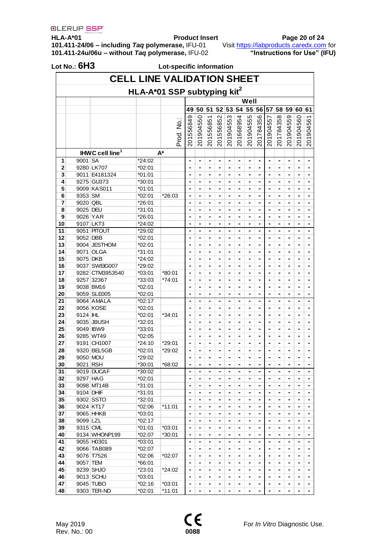**HLA-A\*01 Product Insert Page 20 of 24 101.411-24/06 – including** *Taq* **polymerase,** IFU-01 Visit [https://labproducts.caredx.com](https://labproducts.caredx.com/) for **101.411-24u/06u – without** *Taq* **polymerase,** IFU-02 **"Instructions for Use" (IFU)**

| <b>CELL LINE VALIDATION SHEET</b>       |           |                             |          |           |                |                |                |           |                |                |           |                |                |                |           |           |                |
|-----------------------------------------|-----------|-----------------------------|----------|-----------|----------------|----------------|----------------|-----------|----------------|----------------|-----------|----------------|----------------|----------------|-----------|-----------|----------------|
| HLA-A*01 SSP subtyping kit <sup>2</sup> |           |                             |          |           |                |                |                |           |                |                |           |                |                |                |           |           |                |
|                                         |           |                             |          |           |                |                |                |           |                |                | Well      |                |                |                |           |           |                |
|                                         |           |                             |          |           | 49             | 50             | 51             |           | 52 53          | 54             | 55        | 56 57          |                | 58             | 59        | 60        | 61             |
|                                         |           |                             |          | Prod. No. | 201556849      | 201904550      | 201556851      | 201556852 | 201904553      | 201668954      | 201904555 | 201784356      | 201904557      | 201784358      | 201904559 | 201904560 | 201904561      |
|                                         |           |                             |          |           |                |                |                |           |                |                |           |                |                |                |           |           |                |
|                                         |           | IHWC cell line <sup>1</sup> |          | $A^*$     |                |                |                |           |                |                |           |                |                |                |           |           |                |
| 1                                       | 9001 SA   |                             | *24:02   |           |                | ٠              | $\blacksquare$ | -         | ۰              | $\blacksquare$ |           | -              | -              | $\blacksquare$ |           |           | $\blacksquare$ |
| 2                                       |           | 9280 LK707                  | *02:01   |           |                | ۰              | $\blacksquare$ | -         | ۰              | $\blacksquare$ | ٠         |                | $\blacksquare$ | $\blacksquare$ | -         |           | $\blacksquare$ |
| 3                                       |           | 9011 E4181324               | $*01:01$ |           |                |                | -              | -         |                | $\blacksquare$ |           | ۰              | -              | -              |           |           | -              |
| 4                                       |           | 9275 GU373                  | *30:01   |           |                |                |                |           |                |                |           |                |                |                |           |           |                |
| 5                                       | 9353 SM   | 9009 KAS011                 | $*01:01$ |           |                |                | -              |           |                |                |           | -              |                | -              |           |           | $\blacksquare$ |
| 6                                       |           |                             | *02:01   | *26:03    |                | ۰              | -              | -         | $\blacksquare$ | ٠              |           | ۰              | -              | -              |           |           | -              |
| 7                                       | 9020 QBL  |                             | *26:01   |           | $\blacksquare$ |                |                | -         | ۰              | $\blacksquare$ | ٠         | -              | $\blacksquare$ | $\blacksquare$ | ۰         | ۰         | $\blacksquare$ |
| 8                                       | 9025 DEU  |                             | $*31:01$ |           |                | ۰              | ٠              | ۰         |                | ٠              |           | ٠              |                | $\blacksquare$ | -         |           | -              |
| 9                                       | 9026 YAR  |                             | *26:01   |           |                |                | -              |           | -              |                |           | ۰              |                | -              |           |           | $\blacksquare$ |
| 10                                      |           | 9107 LKT3                   | *24:02   |           |                |                |                |           |                |                |           |                |                |                |           |           | -              |
| 11                                      |           | 9051 PITOUT                 | *29:02   |           |                | -              | $\blacksquare$ | -         | -              | $\blacksquare$ | ۰         | ۰              | -              | -              |           | ۰         | -              |
| 12                                      | 9052 DBB  |                             | *02:01   |           |                | ۰              |                | -         | ۰              | $\blacksquare$ | ٠         | -              | -              | -              | -         | -         | -              |
| 13                                      |           | 9004 JESTHOM                | *02:01   |           |                |                |                |           |                |                |           | -              |                | -              |           |           | -              |
| 14                                      |           | 9071 OLGA                   | *31:01   |           |                | ۰              | -              | -         | -              | $\blacksquare$ |           | -              |                |                |           |           | $\blacksquare$ |
| 15                                      | 9075 DKB  |                             | *24:02   |           |                | ٠              |                | -         |                | ٠              |           | ۰              | $\blacksquare$ | $\blacksquare$ |           |           | -              |
| 16                                      |           | 9037 SWEIG007               | *29:02   |           | $\blacksquare$ |                | $\blacksquare$ | -         | ۰              | $\blacksquare$ | ۰         | $\blacksquare$ | -              | $\blacksquare$ | ۰         | ۰         | $\blacksquare$ |
| 17                                      |           | 9282 CTM3953540             | $*03:01$ | $*80:01$  |                |                | ۰              |           |                |                |           | -              |                | -              |           |           | -              |
| 18                                      |           | 9257 32367                  | *33:03   | *74:01    |                |                | -              | -         | -              |                |           | ۰              |                | -              |           |           | -              |
| 19                                      |           | 9038 BM16                   | *02:01   |           |                |                |                |           |                |                |           |                |                | -              |           |           |                |
| 20                                      |           | 9059 SLE005                 | $*02:01$ |           |                |                | ٠              | -         |                |                |           |                |                | -              |           |           | -              |
| 21                                      |           | 9064 AMALA                  | $*02:17$ |           | -              | ۰              | -              | -         | -              | $\blacksquare$ |           |                |                | -              | -         | -         | -              |
| 22                                      |           | 9056 KOSE                   | *02:01   |           |                | ۰              | ۰              |           |                |                |           | -              |                |                |           |           | -              |
| 23                                      | 9124 IHL  |                             | *02:01   | *34:01    |                | ٠              | $\blacksquare$ | -         | $\blacksquare$ | $\blacksquare$ | ٠         | ۰              |                | $\blacksquare$ | ٠         | ٠         | $\blacksquare$ |
| 24                                      |           | 9035 JBUSH                  | *32:01   |           |                |                | ۰              |           |                |                |           | ۰              |                | -              |           |           | -              |
| 25                                      |           | 9049 IBW9                   | *33:01   |           |                | ۰              | -              | -         | ۰              | $\blacksquare$ | ۰         |                | $\blacksquare$ |                | -         | -         | ۰              |
| 26                                      |           | 9285 WT49                   | *02:05   |           |                | -              |                | -         | -              | $\blacksquare$ |           | ۰              | -              | -              | -         | -         | -              |
| 27                                      |           | 9191 CH1007                 | *24:10   | *29:01    |                |                |                |           |                |                |           |                |                | -              |           |           |                |
| 28                                      |           | 9320 BEL5GB                 | $*02:01$ | *29:02    |                | ٠              | -              | -         |                |                |           | $\blacksquare$ |                | -              |           |           |                |
| 29                                      | 9050 MOU  |                             | *29:02   |           |                |                | -              |           |                |                |           | -              |                | -              |           |           | -              |
| 30                                      | 9021 RSH  |                             | *30:01   | *68:02    | $\blacksquare$ | -              | $\blacksquare$ | -         | ۰              | $\blacksquare$ | ۰         | ۰              | $\blacksquare$ | $\blacksquare$ | -         | -         | $\blacksquare$ |
| 31                                      |           | 9019 DUCAF                  | *30:02   |           |                |                |                |           |                | ٠              |           |                |                | ٠              |           |           |                |
| 32                                      | 9297 HAG  |                             | $*02:01$ |           | $\blacksquare$ | -              | $\blacksquare$ | -         | ۰              | $\blacksquare$ | -         | -              | $\blacksquare$ | $\blacksquare$ | -         | -         | ۰              |
| 33                                      |           | 9098 MT14B                  | $*31:01$ |           |                | ۰              | $\blacksquare$ | ۰         | -              | $\blacksquare$ |           |                | -              | $\blacksquare$ |           |           | -              |
| 34                                      | 9104 DHIF |                             | *31:01   |           | $\blacksquare$ | -              | $\blacksquare$ | -         | ۰              | $\blacksquare$ | ۰         | -              | -              | $\blacksquare$ | -         | ۰         | -              |
| 35                                      |           | 9302 SSTO                   | *32:01   |           | -              | -              | $\blacksquare$ |           |                | $\blacksquare$ | ۰         | -              | -              | -              | -         | -         | ۰              |
| 36                                      |           | 9024 KT17                   | $*02:06$ | *11:01    |                |                | $\blacksquare$ | -         | -              | $\blacksquare$ |           |                | -              | -              |           |           | -              |
| 37                                      |           | 9065 HHKB                   | $*03:01$ |           |                |                | $\blacksquare$ | -         | -              | $\blacksquare$ |           | -              |                | $\blacksquare$ | -         |           | $\blacksquare$ |
| 38                                      | 9099 LZL  |                             | $*02:17$ |           | $\blacksquare$ | $\blacksquare$ | $\blacksquare$ | -         | ۰              | $\blacksquare$ | ۰         | -              | $\blacksquare$ | $\blacksquare$ | ۰         | ۰         | -              |
| 39                                      | 9315 CML  |                             | $*01:01$ | *03:01    | $\blacksquare$ | $\blacksquare$ | $\blacksquare$ |           |                | $\blacksquare$ | ۰         | $\blacksquare$ | $\blacksquare$ | $\blacksquare$ | -         | -         | $\blacksquare$ |
| 40                                      |           | 9134 WHONP199               | *02:07   | *30:01    | $\blacksquare$ | -              | -              | -         | -              | $\blacksquare$ | ۰         | $\blacksquare$ | -              |                | -         |           | $\blacksquare$ |
| 41                                      |           | 9055 H0301                  | $*03:01$ |           | $\blacksquare$ | $\blacksquare$ | $\blacksquare$ | -         |                | $\blacksquare$ | ۰         |                | $\blacksquare$ | $\blacksquare$ |           | -         | -              |
| 42                                      |           | 9066 TAB089                 | $*02:07$ |           |                |                |                | -         | ۰              | $\blacksquare$ | ۰         | -              |                | $\blacksquare$ |           | -         | -              |
| 43                                      |           | 9076 T7526                  | *02:06   | *02:07    | $\blacksquare$ | $\blacksquare$ | $\blacksquare$ | -         | ۰              | $\blacksquare$ | ۰         | -              | -              | -              | -         | ۰         | -              |
| 44                                      | 9057 TEM  |                             | *66:01   |           | $\blacksquare$ |                | $\blacksquare$ |           |                | $\blacksquare$ | -         | -              | -              | $\blacksquare$ | -         | -         | ۰              |
| 45                                      |           | 9239 SHJO                   | *23:01   | *24:02    | $\blacksquare$ |                |                | -         | -              | ٠              |           |                | $\blacksquare$ | -              |           |           |                |
| 46                                      |           | 9013 SCHU                   | $*03:01$ |           | $\blacksquare$ | $\blacksquare$ | $\blacksquare$ | -         | -              | $\blacksquare$ | ۰         | $\blacksquare$ | -              | $\blacksquare$ | ۰         | ٠         | $\blacksquare$ |
| 47                                      |           | 9045 TUBO                   | $*02:16$ | *03:01    |                | ۰              |                | -         | ۰              | $\blacksquare$ | ۰         | $\blacksquare$ |                | $\blacksquare$ | ۰         | -         | $\blacksquare$ |
| 48                                      |           | 9303 TER-ND                 | $*02:01$ | $*11:01$  |                | -              |                | -         | ۰              | $\blacksquare$ | -         | -              | -              | ۰              |           | -         | $\blacksquare$ |

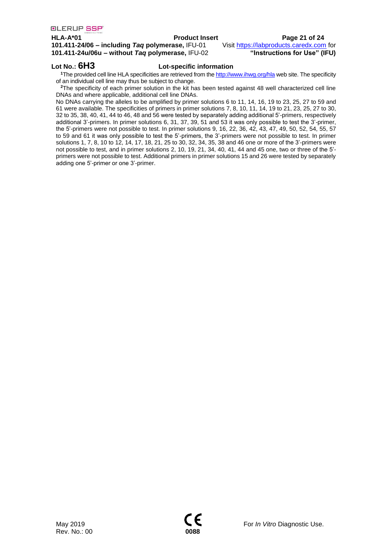### **HLA-A\*01 Product Insert Page 21 of 24**

**101.411-24/06 – including** *Taq* **polymerase,** IFU-01 Visit [https://labproducts.caredx.com](https://labproducts.caredx.com/) for **101.411-24u/06u – without** *Taq* **polymerase,** IFU-02 **"Instructions for Use" (IFU)**

### **Lot No.: 6H3 Lot-specific information**

**<sup>1</sup>**The provided cell line HLA specificities are retrieved from th[e http://www.ihwg.org/hla](http://www.ihwg.org/hla) web site. The specificity of an individual cell line may thus be subject to change.

**<sup>2</sup>**The specificity of each primer solution in the kit has been tested against 48 well characterized cell line DNAs and where applicable, additional cell line DNAs.

No DNAs carrying the alleles to be amplified by primer solutions 6 to 11, 14, 16, 19 to 23, 25, 27 to 59 and 61 were available. The specificities of primers in primer solutions 7, 8, 10, 11, 14, 19 to 21, 23, 25, 27 to 30, 32 to 35, 38, 40, 41, 44 to 46, 48 and 56 were tested by separately adding additional 5'-primers, respectively additional 3'-primers. In primer solutions 6, 31, 37, 39, 51 and 53 it was only possible to test the 3'-primer, the 5'-primers were not possible to test. In primer solutions 9, 16, 22, 36, 42, 43, 47, 49, 50, 52, 54, 55, 57 to 59 and 61 it was only possible to test the 5'-primers, the 3'-primers were not possible to test. In primer solutions 1, 7, 8, 10 to 12, 14, 17, 18, 21, 25 to 30, 32, 34, 35, 38 and 46 one or more of the 3'-primers were not possible to test, and in primer solutions 2, 10, 19, 21, 34, 40, 41, 44 and 45 one, two or three of the 5' primers were not possible to test. Additional primers in primer solutions 15 and 26 were tested by separately adding one 5'-primer or one 3'-primer.

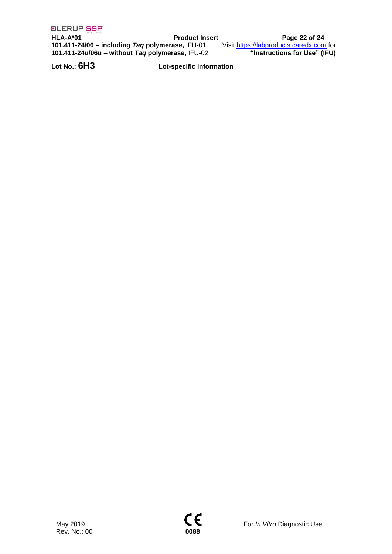**HLA-A\*01 Product Insert Page 22 of 24 101.411-24/06 – including** *Taq* **polymerase,** IFU-01 Visit [https://labproducts.caredx.com](https://labproducts.caredx.com/) for **101.411-24u/06u – without** *Taq* **polymerase,** IFU-02 **"Instructions for Use" (IFU)**

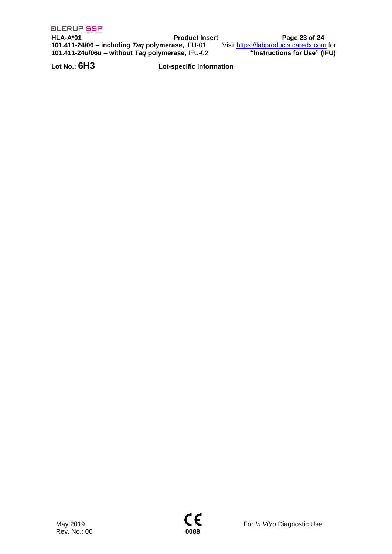**HLA-A\*01 Product Insert Page 23 of 24 101.411-24/06 – including** *Taq* **polymerase,** IFU-01 Visit [https://labproducts.caredx.com](https://labproducts.caredx.com/) for **101.411-24u/06u – without** *Taq* **polymerase,** IFU-02 **"Instructions for Use" (IFU)**